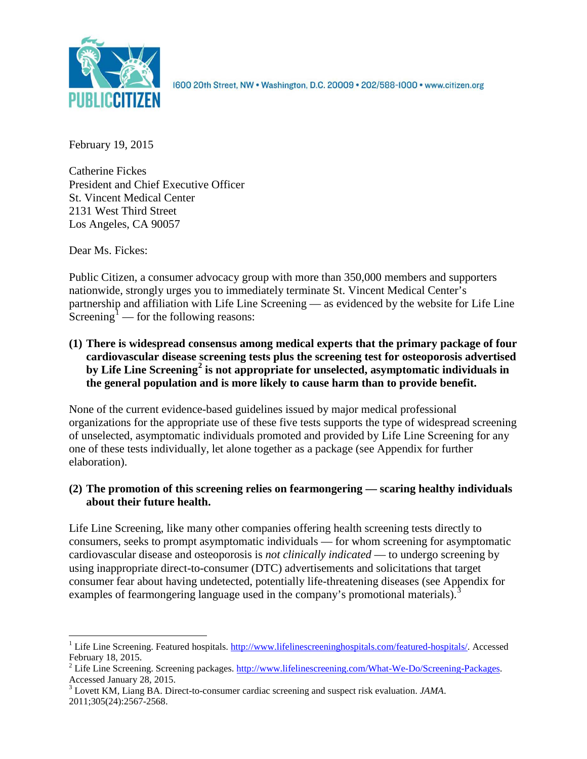

1600 20th Street, NW . Washington, D.C. 20009 . 202/588-1000 . www.citizen.org

February 19, 2015

Catherine Fickes President and Chief Executive Officer St. Vincent Medical Center 2131 West Third Street Los Angeles, CA 90057

Dear Ms. Fickes:

Public Citizen, a consumer advocacy group with more than 350,000 members and supporters nationwide, strongly urges you to immediately terminate St. Vincent Medical Center's partnership and affiliation with Life Line Screening — as evidenced by the website for Life Line Screening<sup>[1](#page-0-0)</sup> — for the following reasons:

**(1) There is widespread consensus among medical experts that the primary package of four cardiovascular disease screening tests plus the screening test for osteoporosis advertised by Life Line Screening[2](#page-0-1) is not appropriate for unselected, asymptomatic individuals in the general population and is more likely to cause harm than to provide benefit.**

None of the current evidence-based guidelines issued by major medical professional organizations for the appropriate use of these five tests supports the type of widespread screening of unselected, asymptomatic individuals promoted and provided by Life Line Screening for any one of these tests individually, let alone together as a package (see Appendix for further elaboration).

# **(2) The promotion of this screening relies on fearmongering — scaring healthy individuals about their future health.**

Life Line Screening, like many other companies offering health screening tests directly to consumers, seeks to prompt asymptomatic individuals — for whom screening for asymptomatic cardiovascular disease and osteoporosis is *not clinically indicated* — to undergo screening by using inappropriate direct-to-consumer (DTC) advertisements and solicitations that target consumer fear about having undetected, potentially life-threatening diseases (see Appendix for examples of fearmongering language used in the company's promotional materials).<sup>[3](#page-0-2)</sup>

<span id="page-0-0"></span><sup>&</sup>lt;sup>1</sup> Life Line Screening. Featured hospitals. [http://www.lifelinescreeninghospitals.com/featured-hospitals/.](http://www.lifelinescreeninghospitals.com/featured-hospitals/) Accessed

<span id="page-0-1"></span>February 18, 2015.<br><sup>2</sup> Life Line Screening. Screening packages. [http://www.lifelinescreening.com/What-We-Do/Screening-Packages.](http://www.lifelinescreening.com/What-We-Do/Screening-Packages)<br>Accessed January 28, 2015.

<span id="page-0-2"></span><sup>&</sup>lt;sup>3</sup> Lovett KM, Liang BA. Direct-to-consumer cardiac screening and suspect risk evaluation. *JAMA*. 2011;305(24):2567-2568.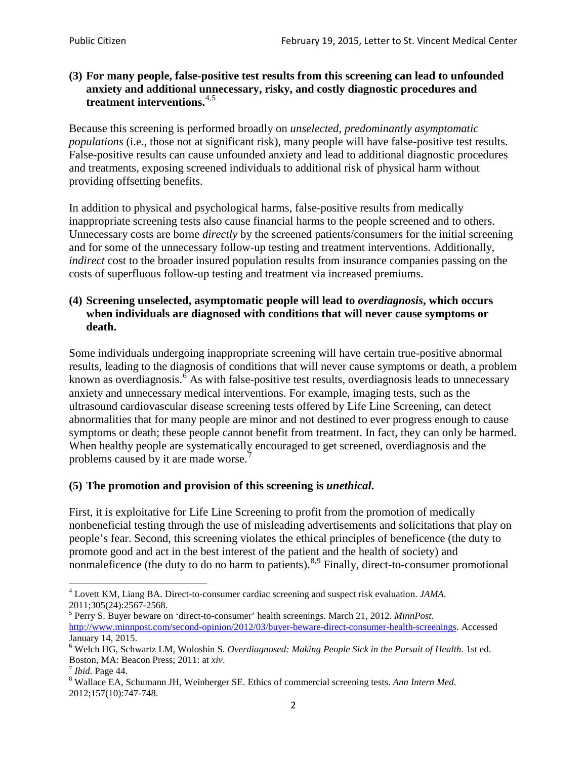## **(3) For many people, false-positive test results from this screening can lead to unfounded anxiety and additional unnecessary, risky, and costly diagnostic procedures and treatment interventions.**[4](#page-1-0),[5](#page-1-1)

Because this screening is performed broadly on *unselected, predominantly asymptomatic populations* (i.e., those not at significant risk), many people will have false**-**positive test results. False-positive results can cause unfounded anxiety and lead to additional diagnostic procedures and treatments, exposing screened individuals to additional risk of physical harm without providing offsetting benefits.

In addition to physical and psychological harms, false-positive results from medically inappropriate screening tests also cause financial harms to the people screened and to others. Unnecessary costs are borne *directly* by the screened patients/consumers for the initial screening and for some of the unnecessary follow-up testing and treatment interventions. Additionally, *indirect* cost to the broader insured population results from insurance companies passing on the costs of superfluous follow-up testing and treatment via increased premiums.

## **(4) Screening unselected, asymptomatic people will lead to** *overdiagnosis***, which occurs when individuals are diagnosed with conditions that will never cause symptoms or death.**

Some individuals undergoing inappropriate screening will have certain true-positive abnormal results, leading to the diagnosis of conditions that will never cause symptoms or death, a problem known as overdiagnosis.<sup>[6](#page-1-2)</sup> As with false-positive test results, overdiagnosis leads to unnecessary anxiety and unnecessary medical interventions. For example, imaging tests, such as the ultrasound cardiovascular disease screening tests offered by Life Line Screening, can detect abnormalities that for many people are minor and not destined to ever progress enough to cause symptoms or death; these people cannot benefit from treatment. In fact, they can only be harmed. When healthy people are systematically encouraged to get screened, overdiagnosis and the problems caused by it are made worse.<sup>[7](#page-1-3)</sup>

# **(5) The promotion and provision of this screening is** *unethical***.**

First, it is exploitative for Life Line Screening to profit from the promotion of medically nonbeneficial testing through the use of misleading advertisements and solicitations that play on people's fear. Second, this screening violates the ethical principles of beneficence (the duty to promote good and act in the best interest of the patient and the health of society) and nonmaleficence (the duty to do no harm to patients).<sup>[8](#page-1-4),[9](#page-1-5)</sup> Finally, direct-to-consumer promotional

<span id="page-1-4"></span>2012;157(10):747-748.

<span id="page-1-5"></span><span id="page-1-0"></span><sup>4</sup> Lovett KM, Liang BA. Direct-to-consumer cardiac screening and suspect risk evaluation. *JAMA*.

<span id="page-1-1"></span><sup>2011;305(24):2567-2568.</sup> <sup>5</sup> Perry S. Buyer beware on 'direct-to-consumer' health screenings. March 21, 2012. *MinnPost.*  [http://www.minnpost.com/second-opinion/2012/03/buyer-beware-direct-consumer-health-screenings.](http://www.minnpost.com/second-opinion/2012/03/buyer-beware-direct-consumer-health-screenings) Accessed January 14, 2015.

<span id="page-1-2"></span><sup>6</sup> Welch HG, Schwartz LM, Woloshin S. *Overdiagnosed: Making People Sick in the Pursuit of Health*. 1st ed. Boston, MA: Beacon Press; 2011: at *xiv*.<br><sup>7</sup> *Ibid*. Page 44.<br><sup>8</sup> Wallace EA, Schumann JH, Weinberger SE. Ethics of commercial screening tests. *Ann Intern Med*.

<span id="page-1-3"></span>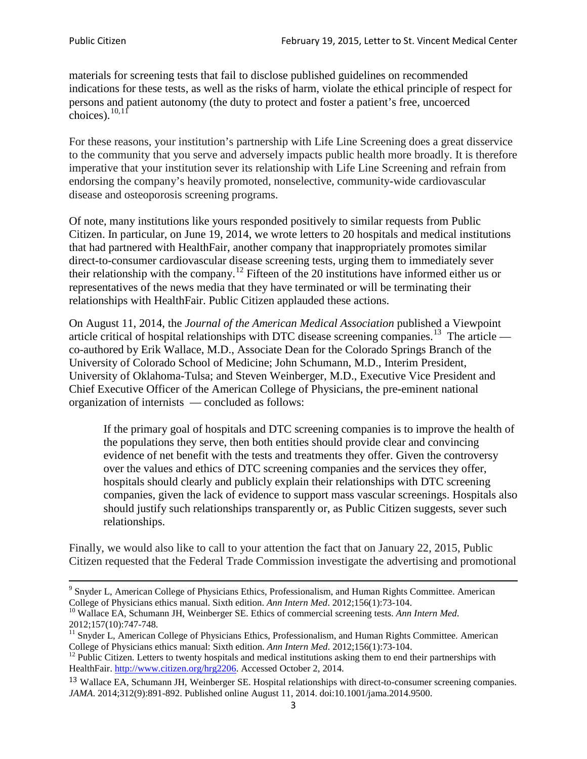materials for screening tests that fail to disclose published guidelines on recommended indications for these tests, as well as the risks of harm, violate the ethical principle of respect for persons and patient autonomy (the duty to protect and foster a patient's free, uncoerced choices). $10,11$  $10,11$ 

For these reasons, your institution's partnership with Life Line Screening does a great disservice to the community that you serve and adversely impacts public health more broadly. It is therefore imperative that your institution sever its relationship with Life Line Screening and refrain from endorsing the company's heavily promoted, nonselective, community**-**wide cardiovascular disease and osteoporosis screening programs.

Of note, many institutions like yours responded positively to similar requests from Public Citizen. In particular, on June 19, 2014, we wrote letters to 20 hospitals and medical institutions that had partnered with HealthFair, another company that inappropriately promotes similar direct-to-consumer cardiovascular disease screening tests, urging them to immediately sever their relationship with the company. [12](#page-2-2) Fifteen of the 20 institutions have informed either us or representatives of the news media that they have terminated or will be terminating their relationships with HealthFair. Public Citizen applauded these actions.

On August 11, 2014, the *Journal of the American Medical Association* published a Viewpoint article critical of hospital relationships with DTC disease screening companies.<sup>13</sup> The article co-authored by Erik Wallace, M.D., Associate Dean for the Colorado Springs Branch of the University of Colorado School of Medicine; John Schumann, M.D., Interim President, University of Oklahoma-Tulsa; and Steven Weinberger, M.D., Executive Vice President and Chief Executive Officer of the American College of Physicians, the pre**-**eminent national organization of internists — concluded as follows:

If the primary goal of hospitals and DTC screening companies is to improve the health of the populations they serve, then both entities should provide clear and convincing evidence of net benefit with the tests and treatments they offer. Given the controversy over the values and ethics of DTC screening companies and the services they offer, hospitals should clearly and publicly explain their relationships with DTC screening companies, given the lack of evidence to support mass vascular screenings. Hospitals also should justify such relationships transparently or, as Public Citizen suggests, sever such relationships.

Finally, we would also like to call to your attention the fact that on January 22, 2015, Public Citizen requested that the Federal Trade Commission investigate the advertising and promotional

<sup>&</sup>lt;sup>9</sup> Snyder L, American College of Physicians Ethics, Professionalism, and Human Rights Committee. American College of Physicians ethics manual. Sixth edition. Ann Intern Med. 2012;156(1):73-104.

<span id="page-2-0"></span><sup>&</sup>lt;sup>10</sup> Wallace EA, Schumann JH, Weinberger SE. Ethics of commercial screening tests. *Ann Intern Med*. 2012;157(10):747-748.

<span id="page-2-1"></span> $11$  Snyder L, American College of Physicians Ethics, Professionalism, and Human Rights Committee. American College of Physicians ethics manual: Sixth edition. *Ann Intern Med*. 2012;156(1):73-104.<br><sup>12</sup> Public Citizen. Letters to twenty hospitals and medical institutions asking them to end their partnerships with

<span id="page-2-2"></span>HealthFair. [http://www.citizen.org/hrg2206.](http://www.citizen.org/hrg2206) Accessed October 2, 2014.

<span id="page-2-3"></span><sup>13</sup> Wallace EA, Schumann JH, Weinberger SE. Hospital relationships with direct-to-consumer screening companies. *JAMA*. 2014;312(9):891-892. Published online August 11, 2014. doi:10.1001/jama.2014.9500.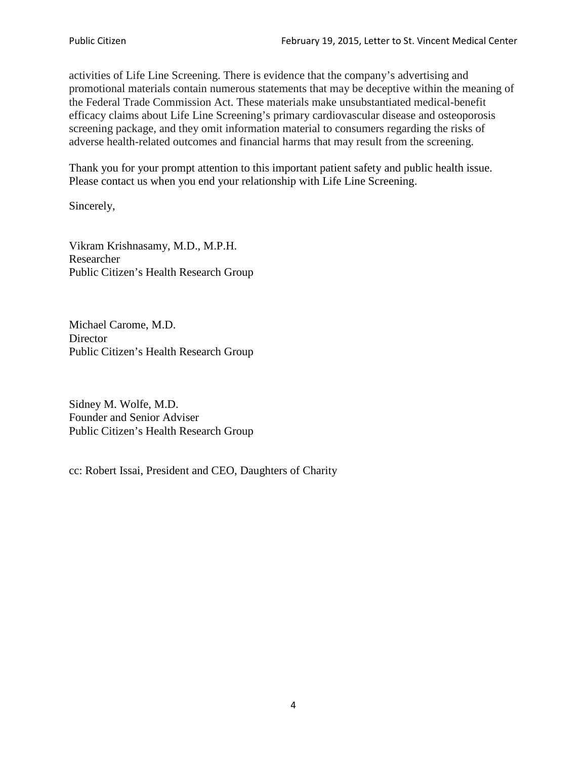activities of Life Line Screening. There is evidence that the company's advertising and promotional materials contain numerous statements that may be deceptive within the meaning of the Federal Trade Commission Act. These materials make unsubstantiated medical-benefit efficacy claims about Life Line Screening's primary cardiovascular disease and osteoporosis screening package, and they omit information material to consumers regarding the risks of adverse health-related outcomes and financial harms that may result from the screening.

Thank you for your prompt attention to this important patient safety and public health issue. Please contact us when you end your relationship with Life Line Screening.

Sincerely,

Vikram Krishnasamy, M.D., M.P.H. Researcher Public Citizen's Health Research Group

Michael Carome, M.D. **Director** Public Citizen's Health Research Group

Sidney M. Wolfe, M.D. Founder and Senior Adviser Public Citizen's Health Research Group

cc: Robert Issai, President and CEO, Daughters of Charity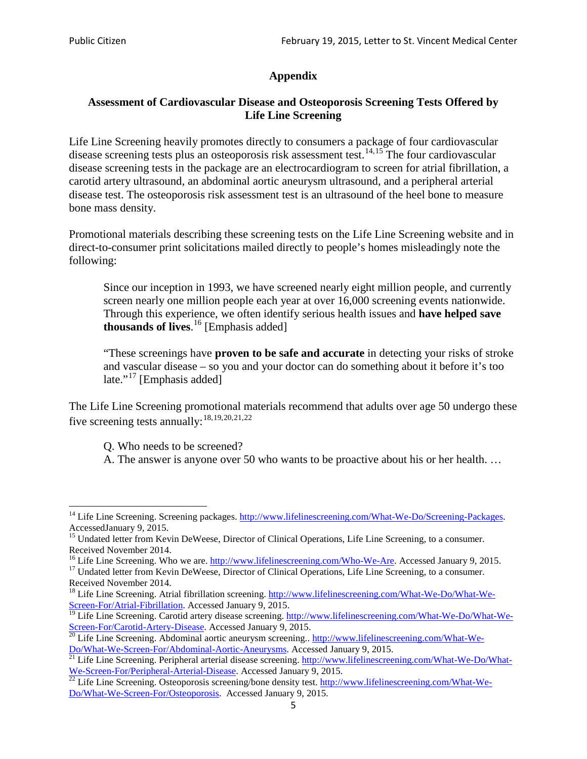# **Appendix**

# **Assessment of Cardiovascular Disease and Osteoporosis Screening Tests Offered by Life Line Screening**

Life Line Screening heavily promotes directly to consumers a package of four cardiovascular disease screening tests plus an osteoporosis risk assessment test.<sup>[14](#page-4-0),[15](#page-4-1)</sup> The four cardiovascular disease screening tests in the package are an electrocardiogram to screen for atrial fibrillation, a carotid artery ultrasound, an abdominal aortic aneurysm ultrasound, and a peripheral arterial disease test. The osteoporosis risk assessment test is an ultrasound of the heel bone to measure bone mass density.

Promotional materials describing these screening tests on the Life Line Screening website and in direct-to-consumer print solicitations mailed directly to people's homes misleadingly note the following:

Since our inception in 1993, we have screened nearly eight million people, and currently screen nearly one million people each year at over 16,000 screening events nationwide. Through this experience, we often identify serious health issues and **have helped save thousands of lives**. [16](#page-4-2) [Emphasis added]

"These screenings have **proven to be safe and accurate** in detecting your risks of stroke and vascular disease – so you and your doctor can do something about it before it's too late."<sup>[17](#page-4-3)</sup> [Emphasis added]

The Life Line Screening promotional materials recommend that adults over age 50 undergo these five screening tests annually:[18](#page-4-4),[19,](#page-4-5)[20,](#page-4-6)[21](#page-4-7),[22](#page-4-8)

Q. Who needs to be screened?

A. The answer is anyone over 50 who wants to be proactive about his or her health. …

<span id="page-4-0"></span><sup>&</sup>lt;sup>14</sup> Life Line Screening. Screening packages. [http://www.lifelinescreening.com/What-We-Do/Screening-Packages.](http://www.lifelinescreening.com/What-We-Do/Screening-Packages) AccessedJanuary 9, 2015.

<span id="page-4-1"></span><sup>&</sup>lt;sup>15</sup> Undated letter from Kevin DeWeese, Director of Clinical Operations, Life Line Screening, to a consumer.

Received November 2014.<br><sup>16</sup> Life Line Screening. Who we are. http://www.lifelinescreening.com/Who-We-Are. Accessed January 9, 2015.

<span id="page-4-3"></span><span id="page-4-2"></span><sup>&</sup>lt;sup>17</sup> Undated letter from Kevin DeWeese, Director of Clinical Operations, Life Line Screening, to a consumer. Received November 2014.

<span id="page-4-4"></span><sup>&</sup>lt;sup>18</sup> Life Line Screening. Atrial fibrillation screening. [http://www.lifelinescreening.com/What-We-Do/What-We-](http://www.lifelinescreening.com/What-We-Do/What-We-Screen-For/Atrial-Fibrillation)[Screen-For/Atrial-Fibrillation.](http://www.lifelinescreening.com/What-We-Do/What-We-Screen-For/Atrial-Fibrillation) Accessed January 9, 2015.

<span id="page-4-5"></span><sup>&</sup>lt;sup>19</sup> Life Line Screening. Carotid artery disease screening. [http://www.lifelinescreening.com/What-We-Do/What-We-](http://www.lifelinescreening.com/What-We-Do/What-We-Screen-For/Carotid-Artery-Disease)

<span id="page-4-6"></span>[Screen-For/Carotid-Artery-Disease.](http://www.lifelinescreening.com/What-We-Do/What-We-Screen-For/Carotid-Artery-Disease) Accessed January 9, 2015.<br><sup>20</sup> Life Line Screening. Abdominal aortic aneurysm screening.. http://www.lifelinescreening.com/What-We-<br>Do/What-We-Screen-For/Abdominal-Aortic-Aneurysms. Acces

<span id="page-4-7"></span> $\frac{1}{21}$  Life Line Screening. Peripheral arterial disease screening. [http://www.lifelinescreening.com/What-We-Do/What-](http://www.lifelinescreening.com/What-We-Do/What-We-Screen-For/Peripheral-Arterial-Disease)

<span id="page-4-8"></span>[We-Screen-For/Peripheral-Arterial-Disease.](http://www.lifelinescreening.com/What-We-Do/What-We-Screen-For/Peripheral-Arterial-Disease) Accessed January 9, 2015.<br><sup>22</sup> Life Line Screening. Osteoporosis screening/bone density test. [http://www.lifelinescreening.com/What-We-](http://www.lifelinescreening.com/What-We-Do/What-We-Screen-For/Osteoporosis)[Do/What-We-Screen-For/Osteoporosis.](http://www.lifelinescreening.com/What-We-Do/What-We-Screen-For/Osteoporosis) Accessed January 9, 2015.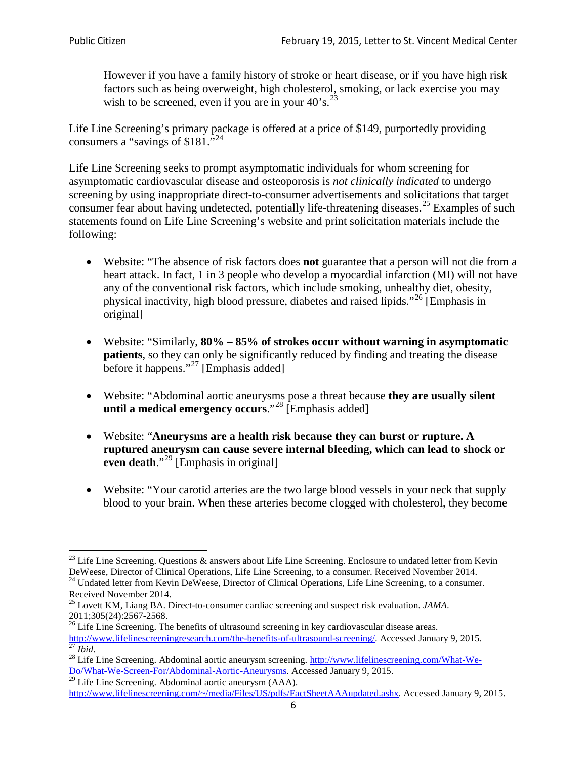However if you have a family history of stroke or heart disease, or if you have high risk factors such as being overweight, high cholesterol, smoking, or lack exercise you may wish to be screened, even if you are in your  $40^\circ$ s.<sup>[23](#page-5-0)</sup>

Life Line Screening's primary package is offered at a price of \$149, purportedly providing consumers a "savings of \$181."<sup>[24](#page-5-1)</sup>

Life Line Screening seeks to prompt asymptomatic individuals for whom screening for asymptomatic cardiovascular disease and osteoporosis is *not clinically indicated* to undergo screening by using inappropriate direct-to-consumer advertisements and solicitations that target consumer fear about having undetected, potentially life-threatening diseases.<sup>[25](#page-5-2)</sup> Examples of such statements found on Life Line Screening's website and print solicitation materials include the following:

- Website: "The absence of risk factors does **not** guarantee that a person will not die from a heart attack. In fact, 1 in 3 people who develop a myocardial infarction (MI) will not have any of the conventional risk factors, which include smoking, unhealthy diet, obesity, physical inactivity, high blood pressure, diabetes and raised lipids."[26](#page-5-3) [Emphasis in original]
- Website: "Similarly, **80% – 85% of strokes occur without warning in asymptomatic patients**, so they can only be significantly reduced by finding and treating the disease before it happens."<sup>[27](#page-5-4)</sup> [Emphasis added]
- Website: "Abdominal aortic aneurysms pose a threat because **they are usually silent until a medical emergency occurs**."[28](#page-5-5) [Emphasis added]
- Website: "**Aneurysms are a health risk because they can burst or rupture. A ruptured aneurysm can cause severe internal bleeding, which can lead to shock or even death.**"<sup>[29](#page-5-6)</sup> [Emphasis in original]
- Website: "Your carotid arteries are the two large blood vessels in your neck that supply blood to your brain. When these arteries become clogged with cholesterol, they become

<span id="page-5-0"></span><sup>&</sup>lt;sup>23</sup> Life Line Screening. Questions  $\&$  answers about Life Line Screening. Enclosure to undated letter from Kevin DeWeese, Director of Clinical Operations, Life Line Screening, to a consumer. Received November 2014.

<span id="page-5-1"></span><sup>&</sup>lt;sup>24</sup> Undated letter from Kevin DeWeese, Director of Clinical Operations, Life Line Screening, to a consumer. Received November 2014.

<span id="page-5-2"></span><sup>25</sup> Lovett KM, Liang BA. Direct-to-consumer cardiac screening and suspect risk evaluation. *JAMA*.  $2011;305(24):2567-2568$ .<br><sup>26</sup> Life Line Screening. The benefits of ultrasound screening in key cardiovascular disease areas.

<span id="page-5-3"></span>[http://www.lifelinescreeningresearch.com/the-benefits-of-ultrasound-screening/.](http://www.lifelinescreeningresearch.com/the-benefits-of-ultrasound-screening/) Accessed January 9, 2015.<br><sup>28</sup> Life Line Screening. Abdominal aortic aneurysm screening. http://www.lifelinescreening.com/What-We-<sup>28</sup>

<span id="page-5-5"></span><span id="page-5-4"></span>[Do/What-We-Screen-For/Abdominal-Aortic-Aneurysms.](http://www.lifelinescreening.com/What-We-Do/What-We-Screen-For/Abdominal-Aortic-Aneurysms) Accessed January 9, 2015. <sup>29</sup> Life Line Screening. Abdominal aortic aneurysm (AAA).

<span id="page-5-6"></span>[http://www.lifelinescreening.com/~/media/Files/US/pdfs/FactSheetAAAupdated.ashx.](http://www.lifelinescreening.com/~/media/Files/US/pdfs/FactSheetAAAupdated.ashx) Accessed January 9, 2015.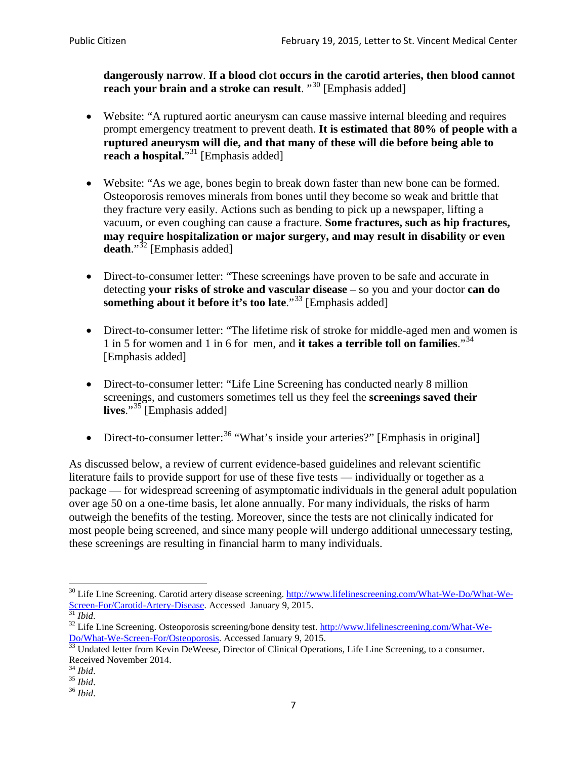**dangerously narrow**. **If a blood clot occurs in the carotid arteries, then blood cannot reach your brain and a stroke can result**. "<sup>[30](#page-6-0)</sup> [Emphasis added]

- Website: "A ruptured aortic aneurysm can cause massive internal bleeding and requires prompt emergency treatment to prevent death. **It is estimated that 80% of people with a ruptured aneurysm will die, and that many of these will die before being able to reach a hospital.**"<sup>[31](#page-6-1)</sup> [Emphasis added]
- Website: "As we age, bones begin to break down faster than new bone can be formed. Osteoporosis removes minerals from bones until they become so weak and brittle that they fracture very easily. Actions such as bending to pick up a newspaper, lifting a vacuum, or even coughing can cause a fracture. **Some fractures, such as hip fractures, may require hospitalization or major surgery, and may result in disability or even**  death."<sup>[32](#page-6-2)</sup> [Emphasis added]
- Direct-to-consumer letter: "These screenings have proven to be safe and accurate in detecting **your risks of stroke and vascular disease** – so you and your doctor **can do something about it before it's too late**."[33](#page-6-3) [Emphasis added]
- Direct-to-consumer letter: "The lifetime risk of stroke for middle-aged men and women is 1 in 5 for women and 1 in 6 for men, and **it takes a terrible toll on families**."[34](#page-6-4) [Emphasis added]
- Direct-to-consumer letter: "Life Line Screening has conducted nearly 8 million screenings, and customers sometimes tell us they feel the **screenings saved their**  lives."<sup>[35](#page-6-5)</sup> [Emphasis added]
- Direct-to-consumer letter:  $36$  "What's inside your arteries?" [Emphasis in original]

As discussed below, a review of current evidence-based guidelines and relevant scientific literature fails to provide support for use of these five tests — individually or together as a package — for widespread screening of asymptomatic individuals in the general adult population over age 50 on a one-time basis, let alone annually. For many individuals, the risks of harm outweigh the benefits of the testing. Moreover, since the tests are not clinically indicated for most people being screened, and since many people will undergo additional unnecessary testing, these screenings are resulting in financial harm to many individuals.

<span id="page-6-0"></span><sup>&</sup>lt;sup>30</sup> Life Line Screening. Carotid artery disease screening. [http://www.lifelinescreening.com/What-We-Do/What-We-](http://www.lifelinescreening.com/What-We-Do/What-We-Screen-For/Carotid-Artery-Disease)[Screen-For/Carotid-Artery-Disease.](http://www.lifelinescreening.com/What-We-Do/What-We-Screen-For/Carotid-Artery-Disease) Accessed January 9, 2015.<br><sup>31</sup> *Ibid.* 32 Life Line Screening. Osteoporosis screening/bone density test. [http://www.lifelinescreening.com/What-We-](http://www.lifelinescreening.com/What-We-Do/What-We-Screen-For/Osteoporosis)

<span id="page-6-2"></span><span id="page-6-1"></span>[Do/What-We-Screen-For/Osteoporosis.](http://www.lifelinescreening.com/What-We-Do/What-We-Screen-For/Osteoporosis) Accessed January 9, 2015. <sup>33</sup> Undated letter from Kevin DeWeese, Director of Clinical Operations, Life Line Screening, to a consumer.

<span id="page-6-3"></span>Received November 2014.<br><sup>34</sup> Ibid.

<span id="page-6-4"></span>

<span id="page-6-5"></span><sup>34</sup> *Ibid*. 35 *Ibid*. 36 *Ibid*.

<span id="page-6-6"></span>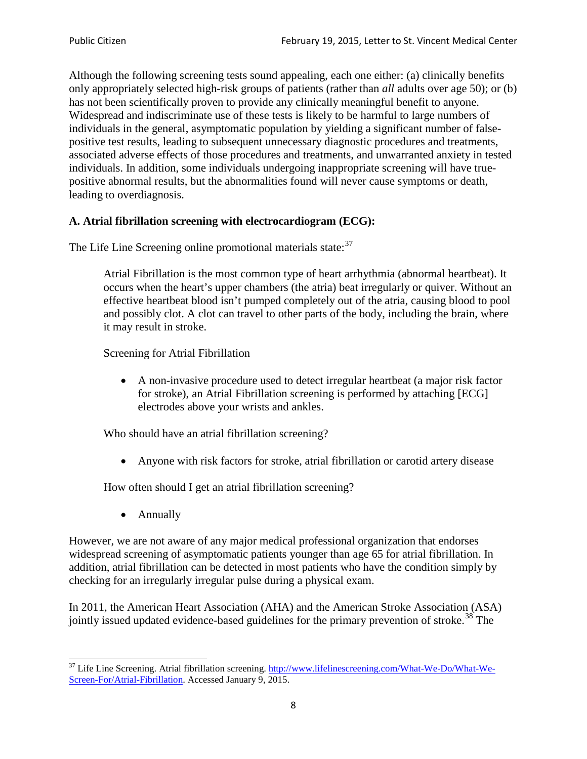Although the following screening tests sound appealing, each one either: (a) clinically benefits only appropriately selected high-risk groups of patients (rather than *all* adults over age 50); or (b) has not been scientifically proven to provide any clinically meaningful benefit to anyone. Widespread and indiscriminate use of these tests is likely to be harmful to large numbers of individuals in the general, asymptomatic population by yielding a significant number of falsepositive test results, leading to subsequent unnecessary diagnostic procedures and treatments, associated adverse effects of those procedures and treatments, and unwarranted anxiety in tested individuals. In addition, some individuals undergoing inappropriate screening will have truepositive abnormal results, but the abnormalities found will never cause symptoms or death, leading to overdiagnosis.

# **A. Atrial fibrillation screening with electrocardiogram (ECG):**

The Life Line Screening online promotional materials state:<sup>[37](#page-7-0)</sup>

Atrial Fibrillation is the most common type of heart arrhythmia (abnormal heartbeat). It occurs when the heart's upper chambers (the atria) beat irregularly or quiver. Without an effective heartbeat blood isn't pumped completely out of the atria, causing blood to pool and possibly clot. A clot can travel to other parts of the body, including the brain, where it may result in stroke.

Screening for Atrial Fibrillation

• A non-invasive procedure used to detect irregular heartbeat (a major risk factor for stroke), an Atrial Fibrillation screening is performed by attaching [ECG] electrodes above your wrists and ankles.

Who should have an atrial fibrillation screening?

• Anyone with risk factors for stroke, atrial fibrillation or carotid artery disease

How often should I get an atrial fibrillation screening?

• Annually

<span id="page-7-1"></span>However, we are not aware of any major medical professional organization that endorses widespread screening of asymptomatic patients younger than age 65 for atrial fibrillation. In addition, atrial fibrillation can be detected in most patients who have the condition simply by checking for an irregularly irregular pulse during a physical exam.

In 2011, the American Heart Association (AHA) and the American Stroke Association (ASA) jointly issued updated evidence-based guidelines for the primary prevention of stroke.<sup>[38](#page-7-1)</sup> The

<span id="page-7-0"></span><sup>&</sup>lt;sup>37</sup> Life Line Screening. Atrial fibrillation screening. [http://www.lifelinescreening.com/What-We-Do/What-We-](http://www.lifelinescreening.com/What-We-Do/What-We-Screen-For/Atrial-Fibrillation)[Screen-For/Atrial-Fibrillation.](http://www.lifelinescreening.com/What-We-Do/What-We-Screen-For/Atrial-Fibrillation) Accessed January 9, 2015.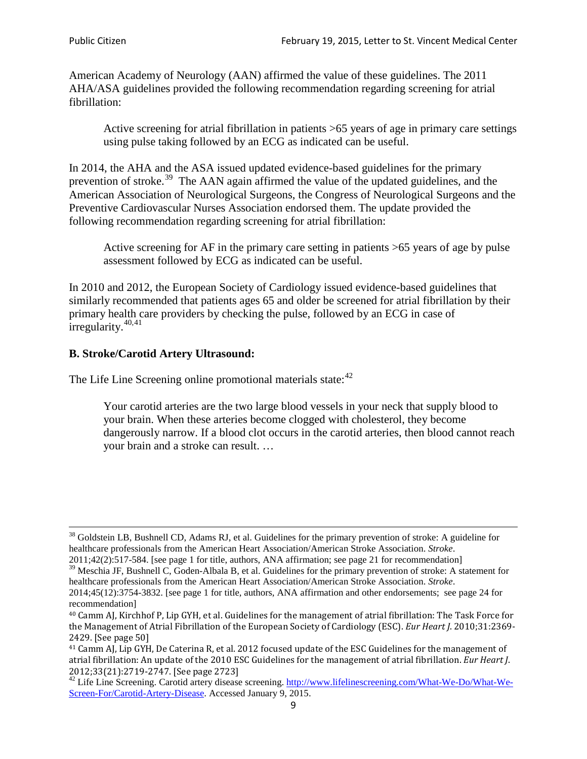American Academy of Neurology (AAN) affirmed the value of these guidelines. The 2011 AHA/ASA guidelines provided the following recommendation regarding screening for atrial fibrillation:

Active screening for atrial fibrillation in patients >65 years of age in primary care settings using pulse taking followed by an ECG as indicated can be useful.

In 2014, the AHA and the ASA issued updated evidence-based guidelines for the primary prevention of stroke.<sup>[39](#page-8-0)</sup> The AAN again affirmed the value of the updated guidelines, and the American Association of Neurological Surgeons, the Congress of Neurological Surgeons and the Preventive Cardiovascular Nurses Association endorsed them. The update provided the following recommendation regarding screening for atrial fibrillation:

Active screening for AF in the primary care setting in patients >65 years of age by pulse assessment followed by ECG as indicated can be useful.

In 2010 and 2012, the European Society of Cardiology issued evidence-based guidelines that similarly recommended that patients ages 65 and older be screened for atrial fibrillation by their primary health care providers by checking the pulse, followed by an ECG in case of irregularity. $40,41$  $40,41$ 

# **B. Stroke/Carotid Artery Ultrasound:**

The Life Line Screening online promotional materials state:<sup>[42](#page-8-3)</sup>

Your carotid arteries are the two large blood vessels in your neck that supply blood to your brain. When these arteries become clogged with cholesterol, they become dangerously narrow. If a blood clot occurs in the carotid arteries, then blood cannot reach your brain and a stroke can result. …

<sup>&</sup>lt;sup>38</sup> Goldstein LB, Bushnell CD, Adams RJ, et al. Guidelines for the primary prevention of stroke: A guideline for healthcare professionals from the American Heart Association/American Stroke Association. *Stroke*.

<sup>2011;42(2):517-584.</sup> [see page 1 for title, authors, ANA affirmation; see page 21 for recommendation]

<span id="page-8-0"></span> $\frac{2011,42(2)(317,601)}{39}$  Meschia JF, Bushnell C, Goden-Albala B, et al. Guidelines for the primary prevention of stroke: A statement for healthcare professionals from the American Heart Association/American Stroke Association. *Stroke*.

<sup>2014;45(12):3754-3832.</sup> [see page 1 for title, authors, ANA affirmation and other endorsements; see page 24 for recommendation]

<span id="page-8-1"></span><sup>40</sup> Camm AJ, Kirchhof P, Lip GYH, et al. Guidelines for the management of atrial fibrillation: The Task Force for the Management of Atrial Fibrillation of the European Society of Cardiology (ESC). *Eur Heart J*. 2010;31:2369- 2429. [See page 50]

<span id="page-8-2"></span><sup>41</sup> Camm AJ, Lip GYH, De Caterina R, et al. 2012 focused update of the ESC Guidelines for the management of atrial fibrillation: An update of the 2010 ESC Guidelines for the management of atrial fibrillation. *Eur Heart J*.

<span id="page-8-3"></span><sup>2012;33(21):2719-2747. [</sup>See page 2723]<br><sup>42</sup> Life Line Screening. Carotid artery disease screening. [http://www.lifelinescreening.com/What-We-Do/What-We-](http://www.lifelinescreening.com/What-We-Do/What-We-Screen-For/Carotid-Artery-Disease)[Screen-For/Carotid-Artery-Disease.](http://www.lifelinescreening.com/What-We-Do/What-We-Screen-For/Carotid-Artery-Disease) Accessed January 9, 2015.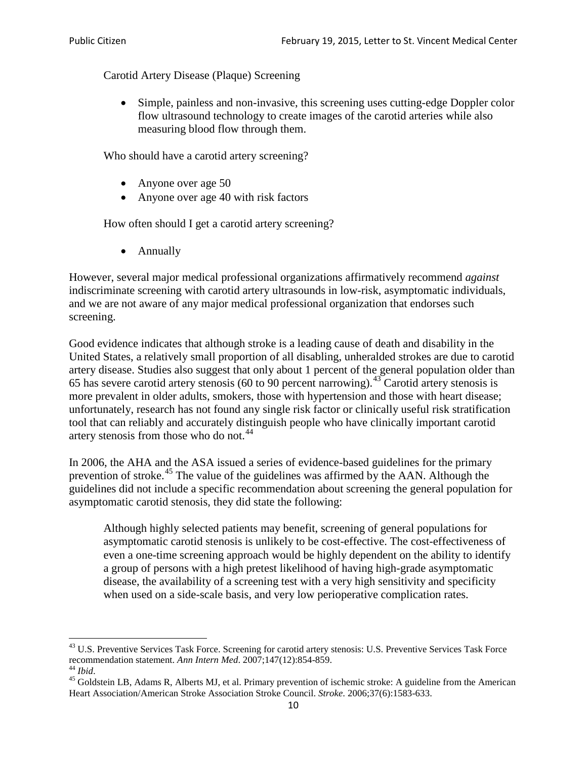Carotid Artery Disease (Plaque) Screening

• Simple, painless and non-invasive, this screening uses cutting-edge Doppler color flow ultrasound technology to create images of the carotid arteries while also measuring blood flow through them.

Who should have a carotid artery screening?

- Anyone over age 50
- Anyone over age 40 with risk factors

How often should I get a carotid artery screening?

• Annually

However, several major medical professional organizations affirmatively recommend *against* indiscriminate screening with carotid artery ultrasounds in low-risk, asymptomatic individuals, and we are not aware of any major medical professional organization that endorses such screening.

Good evidence indicates that although stroke is a leading cause of death and disability in the United States, a relatively small proportion of all disabling, unheralded strokes are due to carotid artery disease. Studies also suggest that only about 1 percent of the general population older than 65 has severe carotid artery stenosis (60 to 90 percent narrowing).<sup>[43](#page-9-0)</sup> Carotid artery stenosis is more prevalent in older adults, smokers, those with hypertension and those with heart disease; unfortunately, research has not found any single risk factor or clinically useful risk stratification tool that can reliably and accurately distinguish people who have clinically important carotid artery stenosis from those who do not.<sup>[44](#page-9-1)</sup>

In 2006, the AHA and the ASA issued a series of evidence-based guidelines for the primary prevention of stroke.[45](#page-9-2) The value of the guidelines was affirmed by the AAN. Although the guidelines did not include a specific recommendation about screening the general population for asymptomatic carotid stenosis, they did state the following:

Although highly selected patients may benefit, screening of general populations for asymptomatic carotid stenosis is unlikely to be cost-effective. The cost-effectiveness of even a one-time screening approach would be highly dependent on the ability to identify a group of persons with a high pretest likelihood of having high-grade asymptomatic disease, the availability of a screening test with a very high sensitivity and specificity when used on a side-scale basis, and very low perioperative complication rates.

<span id="page-9-0"></span> $^{43}$  U.S. Preventive Services Task Force. Screening for carotid artery stenosis: U.S. Preventive Services Task Force recommendation statement. Ann Intern Med. 2007;147(12):854-859.

<span id="page-9-2"></span><span id="page-9-1"></span><sup>&</sup>lt;sup>44</sup> *Ibid*. <sup>45</sup> Goldstein LB, Adams R, Alberts MJ, et al. Primary prevention of ischemic stroke: A guideline from the American <sup>45</sup> Goldstein LB, Adams R, Alberts MJ, et al. Primary prevention of ischemic stroke: A guide Heart Association/American Stroke Association Stroke Council. *Stroke*. 2006;37(6):1583-633.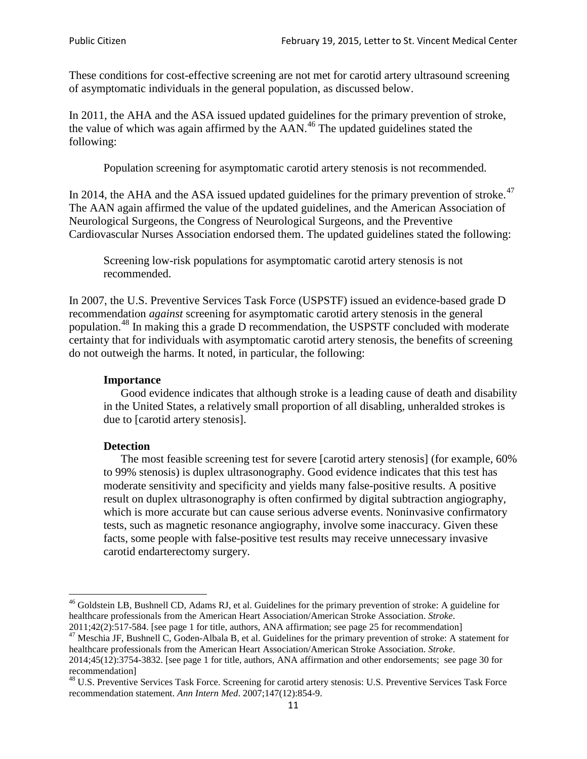These conditions for cost-effective screening are not met for carotid artery ultrasound screening of asymptomatic individuals in the general population, as discussed below.

In 2011, the AHA and the ASA issued updated guidelines for the primary prevention of stroke, the value of which was again affirmed by the  $AAN<sup>46</sup>$  $AAN<sup>46</sup>$  $AAN<sup>46</sup>$ . The updated guidelines stated the following:

Population screening for asymptomatic carotid artery stenosis is not recommended.

In 2014, the AHA and the ASA issued updated guidelines for the primary prevention of stroke. $47$ The AAN again affirmed the value of the updated guidelines, and the American Association of Neurological Surgeons, the Congress of Neurological Surgeons, and the Preventive Cardiovascular Nurses Association endorsed them. The updated guidelines stated the following:

Screening low-risk populations for asymptomatic carotid artery stenosis is not recommended.

In 2007, the U.S. Preventive Services Task Force (USPSTF) issued an evidence-based grade D recommendation *against* screening for asymptomatic carotid artery stenosis in the general population.[48](#page-10-2) In making this a grade D recommendation, the USPSTF concluded with moderate certainty that for individuals with asymptomatic carotid artery stenosis, the benefits of screening do not outweigh the harms. It noted, in particular, the following:

### **Importance**

Good evidence indicates that although stroke is a leading cause of death and disability in the United States, a relatively small proportion of all disabling, unheralded strokes is due to [carotid artery stenosis].

### **Detection**

The most feasible screening test for severe [carotid artery stenosis] (for example, 60% to 99% stenosis) is duplex ultrasonography. Good evidence indicates that this test has moderate sensitivity and specificity and yields many false-positive results. A positive result on duplex ultrasonography is often confirmed by digital subtraction angiography, which is more accurate but can cause serious adverse events. Noninvasive confirmatory tests, such as magnetic resonance angiography, involve some inaccuracy. Given these facts, some people with false-positive test results may receive unnecessary invasive carotid endarterectomy surgery.

<span id="page-10-0"></span><sup>&</sup>lt;sup>46</sup> Goldstein LB, Bushnell CD, Adams RJ, et al. Guidelines for the primary prevention of stroke: A guideline for healthcare professionals from the American Heart Association/American Stroke Association. *Stroke*.<br>2011;42(2):517-584. [see page 1 for title, authors, ANA affirmation; see page 25 for recommendation]

<span id="page-10-1"></span><sup>&</sup>lt;sup>47</sup> Meschia JF, Bushnell C, Goden-Albala B, et al. Guidelines for the primary prevention of stroke: A statement for healthcare professionals from the American Heart Association/American Stroke Association. *Stroke*. 2014;45(12):3754-3832. [see page 1 for title, authors, ANA affirmation and other endorsements; see page 30 for

recommendation]

<span id="page-10-2"></span><sup>&</sup>lt;sup>48</sup> U.S. Preventive Services Task Force. Screening for carotid artery stenosis: U.S. Preventive Services Task Force recommendation statement. *Ann Intern Med*. 2007;147(12):854-9.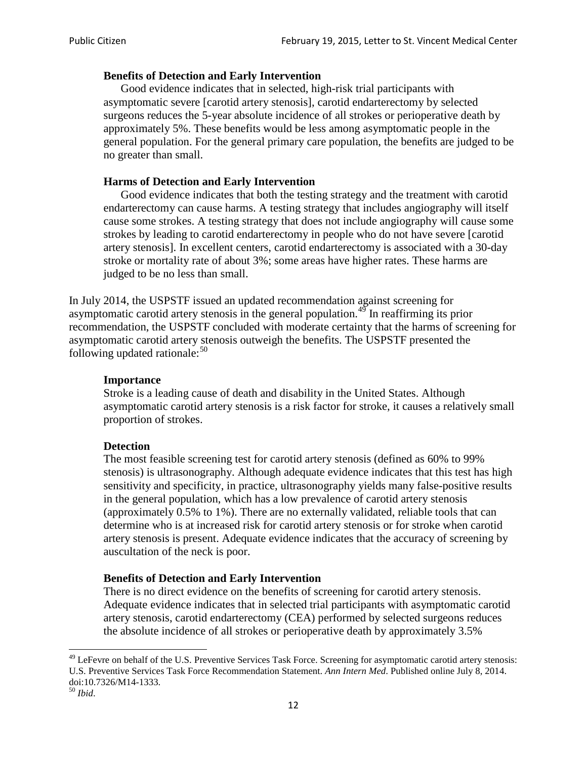### **Benefits of Detection and Early Intervention**

Good evidence indicates that in selected, high-risk trial participants with asymptomatic severe [carotid artery stenosis], carotid endarterectomy by selected surgeons reduces the 5-year absolute incidence of all strokes or perioperative death by approximately 5%. These benefits would be less among asymptomatic people in the general population. For the general primary care population, the benefits are judged to be no greater than small.

### **Harms of Detection and Early Intervention**

Good evidence indicates that both the testing strategy and the treatment with carotid endarterectomy can cause harms. A testing strategy that includes angiography will itself cause some strokes. A testing strategy that does not include angiography will cause some strokes by leading to carotid endarterectomy in people who do not have severe [carotid artery stenosis]. In excellent centers, carotid endarterectomy is associated with a 30-day stroke or mortality rate of about 3%; some areas have higher rates. These harms are judged to be no less than small.

In July 2014, the USPSTF issued an updated recommendation against screening for asymptomatic carotid artery stenosis in the general population.<sup>[49](#page-11-0)</sup> In reaffirming its prior recommendation, the USPSTF concluded with moderate certainty that the harms of screening for asymptomatic carotid artery stenosis outweigh the benefits. The USPSTF presented the following updated rationale: $50$ 

### **Importance**

Stroke is a leading cause of death and disability in the United States. Although asymptomatic carotid artery stenosis is a risk factor for stroke, it causes a relatively small proportion of strokes.

### **Detection**

The most feasible screening test for carotid artery stenosis (defined as 60% to 99% stenosis) is ultrasonography. Although adequate evidence indicates that this test has high sensitivity and specificity, in practice, ultrasonography yields many false-positive results in the general population, which has a low prevalence of carotid artery stenosis (approximately 0.5% to 1%). There are no externally validated, reliable tools that can determine who is at increased risk for carotid artery stenosis or for stroke when carotid artery stenosis is present. Adequate evidence indicates that the accuracy of screening by auscultation of the neck is poor.

### **Benefits of Detection and Early Intervention**

There is no direct evidence on the benefits of screening for carotid artery stenosis. Adequate evidence indicates that in selected trial participants with asymptomatic carotid artery stenosis, carotid endarterectomy (CEA) performed by selected surgeons reduces the absolute incidence of all strokes or perioperative death by approximately 3.5%

<span id="page-11-0"></span><sup>&</sup>lt;sup>49</sup> LeFevre on behalf of the U.S. Preventive Services Task Force. Screening for asymptomatic carotid artery stenosis: U.S. Preventive Services Task Force Recommendation Statement. *Ann Intern Med*. Published online July 8, 2014. doi:10.7326/M14-1333. <sup>50</sup> *Ibid*.

<span id="page-11-1"></span>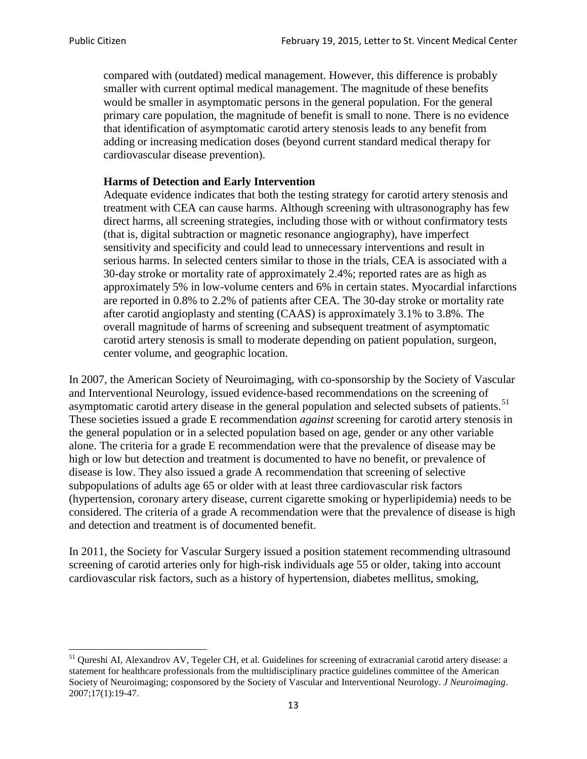compared with (outdated) medical management. However, this difference is probably smaller with current optimal medical management. The magnitude of these benefits would be smaller in asymptomatic persons in the general population. For the general primary care population, the magnitude of benefit is small to none. There is no evidence that identification of asymptomatic carotid artery stenosis leads to any benefit from adding or increasing medication doses (beyond current standard medical therapy for cardiovascular disease prevention).

### **Harms of Detection and Early Intervention**

Adequate evidence indicates that both the testing strategy for carotid artery stenosis and treatment with CEA can cause harms. Although screening with ultrasonography has few direct harms, all screening strategies, including those with or without confirmatory tests (that is, digital subtraction or magnetic resonance angiography), have imperfect sensitivity and specificity and could lead to unnecessary interventions and result in serious harms. In selected centers similar to those in the trials, CEA is associated with a 30-day stroke or mortality rate of approximately 2.4%; reported rates are as high as approximately 5% in low-volume centers and 6% in certain states. Myocardial infarctions are reported in 0.8% to 2.2% of patients after CEA. The 30-day stroke or mortality rate after carotid angioplasty and stenting (CAAS) is approximately 3.1% to 3.8%. The overall magnitude of harms of screening and subsequent treatment of asymptomatic carotid artery stenosis is small to moderate depending on patient population, surgeon, center volume, and geographic location.

In 2007, the American Society of Neuroimaging, with co-sponsorship by the Society of Vascular and Interventional Neurology, issued evidence-based recommendations on the screening of asymptomatic carotid artery disease in the general population and selected subsets of patients.<sup>[51](#page-12-0)</sup> These societies issued a grade E recommendation *against* screening for carotid artery stenosis in the general population or in a selected population based on age, gender or any other variable alone. The criteria for a grade E recommendation were that the prevalence of disease may be high or low but detection and treatment is documented to have no benefit, or prevalence of disease is low. They also issued a grade A recommendation that screening of selective subpopulations of adults age 65 or older with at least three cardiovascular risk factors (hypertension, coronary artery disease, current cigarette smoking or hyperlipidemia) needs to be considered. The criteria of a grade A recommendation were that the prevalence of disease is high and detection and treatment is of documented benefit.

In 2011, the Society for Vascular Surgery issued a position statement recommending ultrasound screening of carotid arteries only for high-risk individuals age 55 or older, taking into account cardiovascular risk factors, such as a history of hypertension, diabetes mellitus, smoking,

<span id="page-12-0"></span><sup>&</sup>lt;sup>51</sup> Oureshi AI, Alexandrov AV, Tegeler CH, et al. Guidelines for screening of extracranial carotid artery disease: a statement for healthcare professionals from the multidisciplinary practice guidelines committee of the American Society of Neuroimaging; cosponsored by the Society of Vascular and Interventional Neurology. *J Neuroimaging*. 2007;17(1):19-47.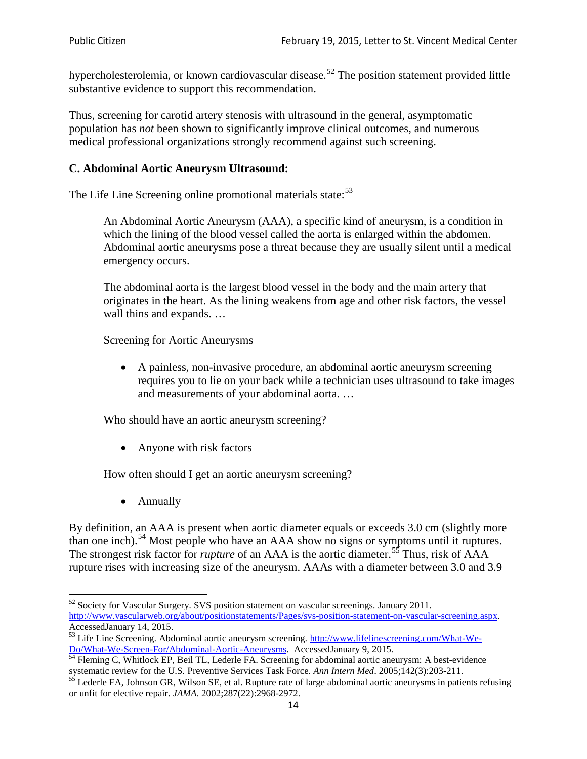hypercholesterolemia, or known cardiovascular disease.<sup>[52](#page-13-0)</sup> The position statement provided little substantive evidence to support this recommendation.

Thus, screening for carotid artery stenosis with ultrasound in the general, asymptomatic population has *not* been shown to significantly improve clinical outcomes, and numerous medical professional organizations strongly recommend against such screening.

## **C. Abdominal Aortic Aneurysm Ultrasound:**

The Life Line Screening online promotional materials state:<sup>[53](#page-13-1)</sup>

An Abdominal Aortic Aneurysm (AAA), a specific kind of aneurysm, is a condition in which the lining of the blood vessel called the aorta is enlarged within the abdomen. Abdominal aortic aneurysms pose a threat because they are usually silent until a medical emergency occurs.

The abdominal aorta is the largest blood vessel in the body and the main artery that originates in the heart. As the lining weakens from age and other risk factors, the vessel wall thins and expands. …

Screening for Aortic Aneurysms

• A painless, non-invasive procedure, an abdominal aortic aneurysm screening requires you to lie on your back while a technician uses ultrasound to take images and measurements of your abdominal aorta. …

Who should have an aortic aneurysm screening?

• Anyone with risk factors

How often should I get an aortic aneurysm screening?

• Annually

By definition, an AAA is present when aortic diameter equals or exceeds 3.0 cm (slightly more than one inch).<sup>[54](#page-13-2)</sup> Most people who have an AAA show no signs or symptoms until it ruptures. The strongest risk factor for *rupture* of an AAA is the aortic diameter.<sup>[55](#page-13-3)</sup> Thus, risk of AAA rupture rises with increasing size of the aneurysm. AAAs with a diameter between 3.0 and 3.9

<span id="page-13-0"></span><sup>&</sup>lt;sup>52</sup> Society for Vascular Surgery. SVS position statement on vascular screenings. January 2011. http://www.vascularweb.org/about/positionstatements/Pages/svs-position-statement-on-vascular-screening.aspx.<br>Accessed January 14, 2015.

<span id="page-13-1"></span>Accessed January 14, 2015.<br>
Sa Life Line Screening. Abdominal aortic aneurysm screening. http://www.lifelinescreening.com/What-We-<br>
Do/What-We-Screen-For/Abdominal-Aortic-Aneurysms. Accessed January 9, 2015.

<span id="page-13-2"></span> $\frac{54}{9}$  Fleming C, Whitlock EP, Beil TL, Lederle FA. Screening for abdominal aortic aneurysm: A best-evidence systematic review for the U.S. Preventive Services Task Force. *Ann Intern Med.* 2005;142(3):203-211.<br><sup>55</sup> Lederle FA, Johnson GR, Wilson SE, et al. Rupture rate of large abdominal aortic aneurysms in patients refusing

<span id="page-13-3"></span>or unfit for elective repair. *JAMA*. 2002;287(22):2968-2972.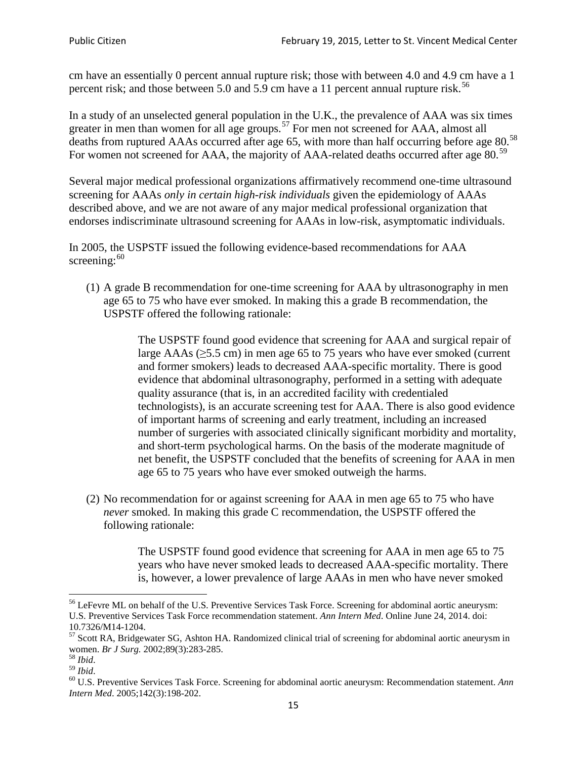cm have an essentially 0 percent annual rupture risk; those with between 4.0 and 4.9 cm have a 1 percent risk; and those between 5.0 and 5.9 cm have a 11 percent annual rupture risk.<sup>[56](#page-14-0)</sup>

In a study of an unselected general population in the U.K., the prevalence of AAA was six times greater in men than women for all age groups.<sup>[57](#page-14-1)</sup> For men not screened for  $AAA$ , almost all deaths from ruptured AAAs occurred after age 65, with more than half occurring before age 80.<sup>[58](#page-14-2)</sup> For women not screened for AAA, the majority of AAA-related deaths occurred after age 80.<sup>[59](#page-14-3)</sup>

Several major medical professional organizations affirmatively recommend one-time ultrasound screening for AAAs *only in certain high-risk individuals* given the epidemiology of AAAs described above, and we are not aware of any major medical professional organization that endorses indiscriminate ultrasound screening for AAAs in low-risk, asymptomatic individuals.

In 2005, the USPSTF issued the following evidence-based recommendations for AAA screening: $60$ 

(1) A grade B recommendation for one-time screening for AAA by ultrasonography in men age 65 to 75 who have ever smoked. In making this a grade [B recommendation,](http://www.uspreventiveservicestaskforce.org/uspstf/gradespre.htm#brec) the USPSTF offered the following rationale:

> The USPSTF found good evidence that screening for AAA and surgical repair of large AAAs ( $\geq$ 5.5 cm) in men age 65 to 75 years who have ever smoked (current and former smokers) leads to decreased AAA-specific mortality. There is good evidence that abdominal ultrasonography, performed in a setting with adequate quality assurance (that is, in an accredited facility with credentialed technologists), is an accurate screening test for AAA. There is also good evidence of important harms of screening and early treatment, including an increased number of surgeries with associated clinically significant morbidity and mortality, and short-term psychological harms. On the basis of the moderate magnitude of net benefit, the USPSTF concluded that the benefits of screening for AAA in men age 65 to 75 years who have ever smoked outweigh the harms.

(2) No recommendation for or against screening for AAA in men age 65 to 75 who have *never* smoked. In making this grade C recommendation, the USPSTF offered the following rationale:

> The USPSTF found good evidence that screening for AAA in men age 65 to 75 years who have never smoked leads to decreased AAA-specific mortality. There is, however, a lower prevalence of large AAAs in men who have never smoked

<span id="page-14-0"></span><sup>&</sup>lt;sup>56</sup> LeFevre ML on behalf of the U.S. Preventive Services Task Force. Screening for abdominal aortic aneurysm: U.S. Preventive Services Task Force recommendation statement. *Ann Intern Med*. Online June 24, 2014. doi:

<span id="page-14-1"></span><sup>10.7326/</sup>M14-1204.<br> $57$  Scott RA, Bridgewater SG, Ashton HA. Randomized clinical trial of screening for abdominal aortic aneurysm in women. *Br J Surg.* 2002;89(3):283-285.

<span id="page-14-4"></span><span id="page-14-3"></span>

<span id="page-14-2"></span><sup>&</sup>lt;sup>58</sup> *Ibid.*<br><sup>59</sup> *Ibid.* 2002;<br><sup>60</sup> U.S. Preventive Services Task Force. Screening for abdominal aortic aneurysm: Recommendation statement. *Ann Intern Med*. 2005;142(3):198-202.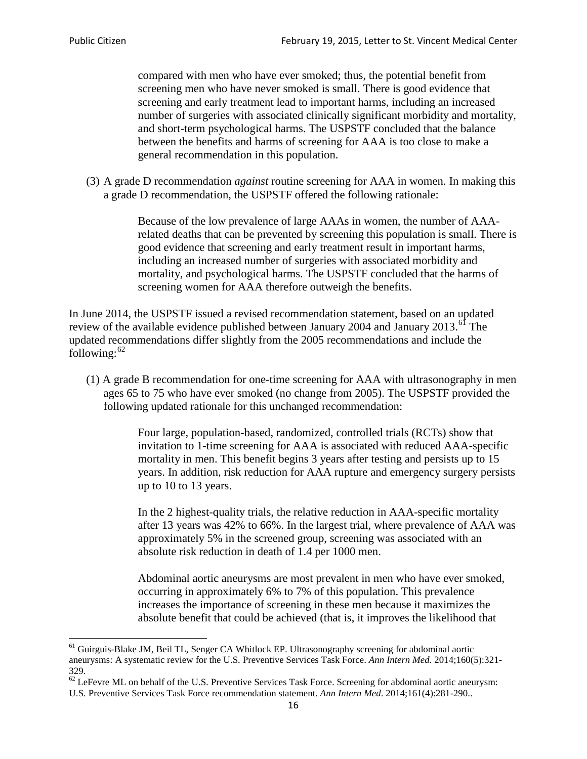compared with men who have ever smoked; thus, the potential benefit from screening men who have never smoked is small. There is good evidence that screening and early treatment lead to important harms, including an increased number of surgeries with associated clinically significant morbidity and mortality, and short-term psychological harms. The USPSTF concluded that the balance between the benefits and harms of screening for AAA is too close to make a general recommendation in this population.

(3) A grade D recommendation *against* routine screening for AAA in women. In making this a grade D recommendation, the USPSTF offered the following rationale:

> Because of the low prevalence of large AAAs in women, the number of AAArelated deaths that can be prevented by screening this population is small. There is good evidence that screening and early treatment result in important harms, including an increased number of surgeries with associated morbidity and mortality, and psychological harms. The USPSTF concluded that the harms of screening women for AAA therefore outweigh the benefits.

In June 2014, the USPSTF issued a revised recommendation statement, based on an updated review of the available evidence published between January 2004 and January 2013.<sup>[61](#page-15-0)</sup> The updated recommendations differ slightly from the 2005 recommendations and include the following: $62$ 

(1) A grade B recommendation for one-time screening for AAA with ultrasonography in men ages 65 to 75 who have ever smoked (no change from 2005). The USPSTF provided the following updated rationale for this unchanged recommendation:

> Four large, population-based, randomized, controlled trials (RCTs) show that invitation to 1-time screening for AAA is associated with reduced AAA-specific mortality in men. This benefit begins 3 years after testing and persists up to 15 years. In addition, risk reduction for AAA rupture and emergency surgery persists up to 10 to 13 years.

> In the 2 highest-quality trials, the relative reduction in AAA-specific mortality after 13 years was 42% to 66%. In the largest trial, where prevalence of AAA was approximately 5% in the screened group, screening was associated with an absolute risk reduction in death of 1.4 per 1000 men.

Abdominal aortic aneurysms are most prevalent in men who have ever smoked, occurring in approximately 6% to 7% of this population. This prevalence increases the importance of screening in these men because it maximizes the absolute benefit that could be achieved (that is, it improves the likelihood that

<span id="page-15-0"></span><sup>61</sup> Guirguis-Blake JM, Beil TL, Senger CA Whitlock EP. Ultrasonography screening for abdominal aortic aneurysms: A systematic review for the U.S. Preventive Services Task Force. *Ann Intern Med*. 2014;160(5):321- 329.

<span id="page-15-1"></span> $62$  LeFevre ML on behalf of the U.S. Preventive Services Task Force. Screening for abdominal aortic aneurysm: U.S. Preventive Services Task Force recommendation statement. *Ann Intern Med*. 2014;161(4):281-290..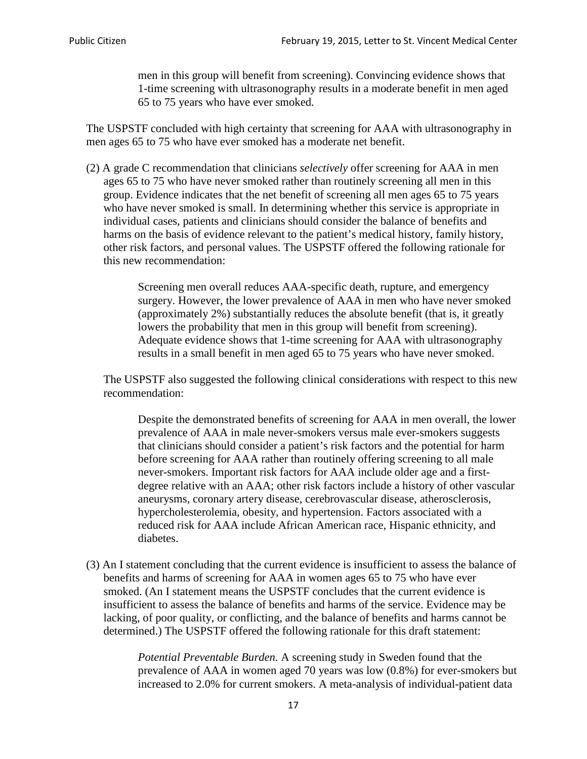men in this group will benefit from screening). Convincing evidence shows that 1-time screening with ultrasonography results in a moderate benefit in men aged 65 to 75 years who have ever smoked.

The USPSTF concluded with high certainty that screening for AAA with ultrasonography in men ages 65 to 75 who have ever smoked has a moderate net benefit.

(2) A grade C recommendation that clinicians *selectively* offer screening for AAA in men ages 65 to 75 who have never smoked rather than routinely screening all men in this group. Evidence indicates that the net benefit of screening all men ages 65 to 75 years who have never smoked is small. In determining whether this service is appropriate in individual cases, patients and clinicians should consider the balance of benefits and harms on the basis of evidence relevant to the patient's medical history, family history, other risk factors, and personal values. The USPSTF offered the following rationale for this new recommendation:

> Screening men overall reduces AAA-specific death, rupture, and emergency surgery. However, the lower prevalence of AAA in men who have never smoked (approximately 2%) substantially reduces the absolute benefit (that is, it greatly lowers the probability that men in this group will benefit from screening). Adequate evidence shows that 1-time screening for AAA with ultrasonography results in a small benefit in men aged 65 to 75 years who have never smoked.

The USPSTF also suggested the following clinical considerations with respect to this new recommendation:

Despite the demonstrated benefits of screening for AAA in men overall, the lower prevalence of AAA in male never-smokers versus male ever-smokers suggests that clinicians should consider a patient's risk factors and the potential for harm before screening for AAA rather than routinely offering screening to all male never-smokers. Important risk factors for AAA include older age and a firstdegree relative with an AAA; other risk factors include a history of other vascular aneurysms, coronary artery disease, cerebrovascular disease, atherosclerosis, hypercholesterolemia, obesity, and hypertension. Factors associated with a reduced risk for AAA include African American race, Hispanic ethnicity, and diabetes.

(3) An I statement concluding that the current evidence is insufficient to assess the balance of benefits and harms of screening for AAA in women ages 65 to 75 who have ever smoked. (An I statement means the USPSTF concludes that the current evidence is insufficient to assess the balance of benefits and harms of the service. Evidence may be lacking, of poor quality, or conflicting, and the balance of benefits and harms cannot be determined.) The USPSTF offered the following rationale for this draft statement:

> *Potential Preventable Burden.* A screening study in Sweden found that the prevalence of AAA in women aged 70 years was low (0.8%) for ever-smokers but increased to 2.0% for current smokers. A meta-analysis of individual-patient data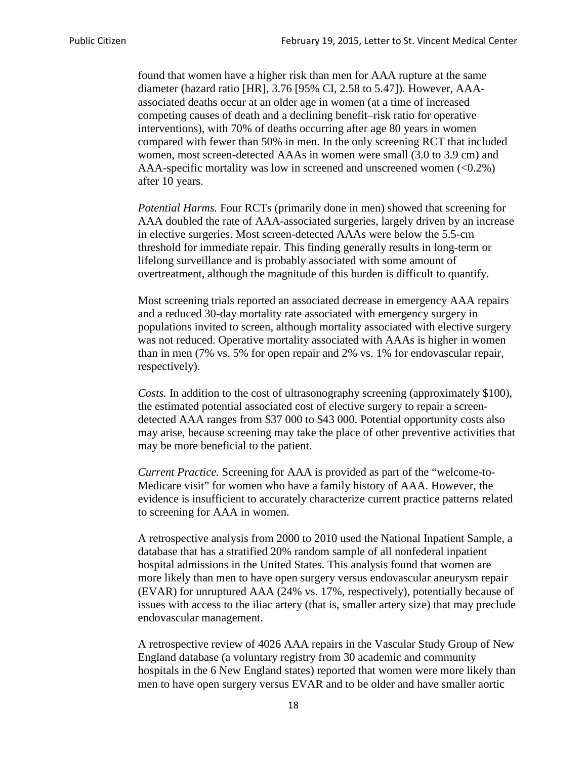found that women have a higher risk than men for AAA rupture at the same diameter (hazard ratio [HR], 3.76 [95% CI, 2.58 to 5.47]). However, AAAassociated deaths occur at an older age in women (at a time of increased competing causes of death and a declining benefit–risk ratio for operative interventions), with 70% of deaths occurring after age 80 years in women compared with fewer than 50% in men. In the only screening RCT that included women, most screen-detected AAAs in women were small (3.0 to 3.9 cm) and AAA-specific mortality was low in screened and unscreened women  $(<0.2\%)$ after 10 years.

*Potential Harms.* Four RCTs (primarily done in men) showed that screening for AAA doubled the rate of AAA-associated surgeries, largely driven by an increase in elective surgeries. Most screen-detected AAAs were below the 5.5-cm threshold for immediate repair. This finding generally results in long-term or lifelong surveillance and is probably associated with some amount of overtreatment, although the magnitude of this burden is difficult to quantify.

Most screening trials reported an associated decrease in emergency AAA repairs and a reduced 30-day mortality rate associated with emergency surgery in populations invited to screen, although mortality associated with elective surgery was not reduced. Operative mortality associated with AAAs is higher in women than in men (7% vs. 5% for open repair and 2% vs. 1% for endovascular repair, respectively).

*Costs.* In addition to the cost of ultrasonography screening (approximately \$100), the estimated potential associated cost of elective surgery to repair a screendetected AAA ranges from \$37 000 to \$43 000. Potential opportunity costs also may arise, because screening may take the place of other preventive activities that may be more beneficial to the patient.

*Current Practice.* Screening for AAA is provided as part of the "welcome-to-Medicare visit" for women who have a family history of AAA. However, the evidence is insufficient to accurately characterize current practice patterns related to screening for AAA in women.

A retrospective analysis from 2000 to 2010 used the National Inpatient Sample, a database that has a stratified 20% random sample of all nonfederal inpatient hospital admissions in the United States. This analysis found that women are more likely than men to have open surgery versus endovascular aneurysm repair (EVAR) for unruptured AAA (24% vs. 17%, respectively), potentially because of issues with access to the iliac artery (that is, smaller artery size) that may preclude endovascular management.

A retrospective review of 4026 AAA repairs in the Vascular Study Group of New England database (a voluntary registry from 30 academic and community hospitals in the 6 New England states) reported that women were more likely than men to have open surgery versus EVAR and to be older and have smaller aortic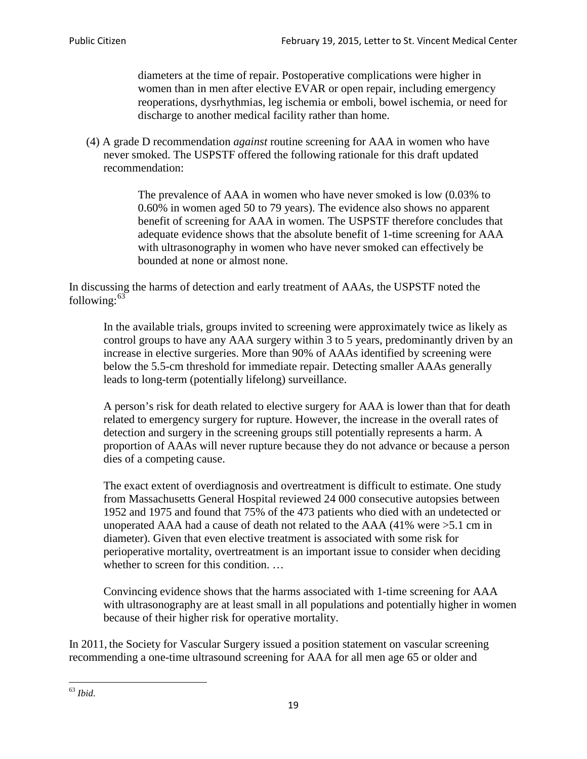diameters at the time of repair. Postoperative complications were higher in women than in men after elective EVAR or open repair, including emergency reoperations, dysrhythmias, leg ischemia or emboli, bowel ischemia, or need for discharge to another medical facility rather than home.

(4) A grade D recommendation *against* routine screening for AAA in women who have never smoked. The USPSTF offered the following rationale for this draft updated recommendation:

> The prevalence of AAA in women who have never smoked is low (0.03% to 0.60% in women aged 50 to 79 years). The evidence also shows no apparent benefit of screening for AAA in women. The USPSTF therefore concludes that adequate evidence shows that the absolute benefit of 1-time screening for AAA with ultrasonography in women who have never smoked can effectively be bounded at none or almost none.

In discussing the harms of detection and early treatment of AAAs, the USPSTF noted the following: $63$ 

In the available trials, groups invited to screening were approximately twice as likely as control groups to have any AAA surgery within 3 to 5 years, predominantly driven by an increase in elective surgeries. More than 90% of AAAs identified by screening were below the 5.5-cm threshold for immediate repair. Detecting smaller AAAs generally leads to long-term (potentially lifelong) surveillance.

A person's risk for death related to elective surgery for AAA is lower than that for death related to emergency surgery for rupture. However, the increase in the overall rates of detection and surgery in the screening groups still potentially represents a harm. A proportion of AAAs will never rupture because they do not advance or because a person dies of a competing cause.

The exact extent of overdiagnosis and overtreatment is difficult to estimate. One study from Massachusetts General Hospital reviewed 24 000 consecutive autopsies between 1952 and 1975 and found that 75% of the 473 patients who died with an undetected or unoperated AAA had a cause of death not related to the AAA (41% were >5.1 cm in diameter). Given that even elective treatment is associated with some risk for perioperative mortality, overtreatment is an important issue to consider when deciding whether to screen for this condition....

Convincing evidence shows that the harms associated with 1-time screening for AAA with ultrasonography are at least small in all populations and potentially higher in women because of their higher risk for operative mortality.

In 2011, the Society for Vascular Surgery issued a position statement on vascular screening recommending a one-time ultrasound screening for AAA for all men age 65 or older and

<span id="page-18-0"></span><sup>63</sup> *Ibid*.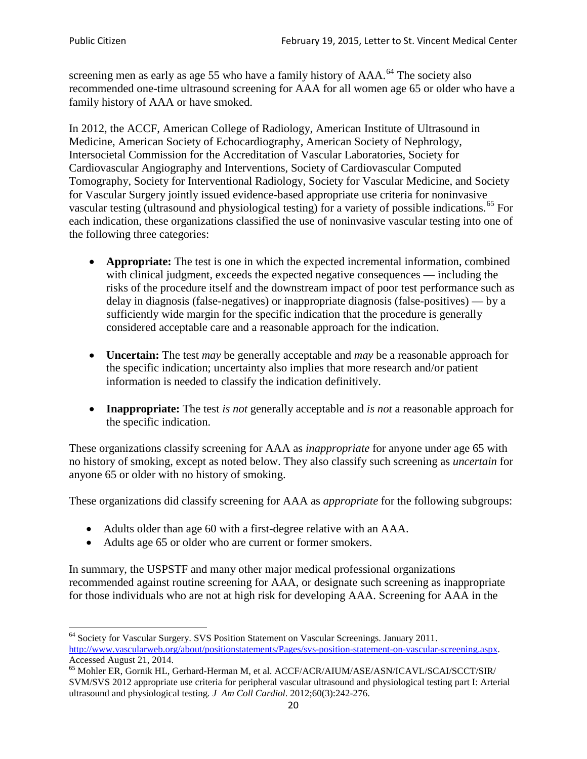screening men as early as age 55 who have a family history of AAA.<sup>[64](#page-19-0)</sup> The society also recommended one-time ultrasound screening for AAA for all women age 65 or older who have a family history of AAA or have smoked.

In 2012, the ACCF, American College of Radiology, American Institute of Ultrasound in Medicine, American Society of Echocardiography, American Society of Nephrology, Intersocietal Commission for the Accreditation of Vascular Laboratories, Society for Cardiovascular Angiography and Interventions, Society of Cardiovascular Computed Tomography, Society for Interventional Radiology, Society for Vascular Medicine, and Society for Vascular Surgery jointly issued evidence-based appropriate use criteria for noninvasive vascular testing (ultrasound and physiological testing) for a variety of possible indications.<sup>[65](#page-19-1)</sup> For each indication, these organizations classified the use of noninvasive vascular testing into one of the following three categories:

- **Appropriate:** The test is one in which the expected incremental information, combined with clinical judgment, exceeds the expected negative consequences — including the risks of the procedure itself and the downstream impact of poor test performance such as delay in diagnosis (false-negatives) or inappropriate diagnosis (false-positives) — by a sufficiently wide margin for the specific indication that the procedure is generally considered acceptable care and a reasonable approach for the indication.
- **Uncertain:** The test *may* be generally acceptable and *may* be a reasonable approach for the specific indication; uncertainty also implies that more research and/or patient information is needed to classify the indication definitively.
- **Inappropriate:** The test *is not* generally acceptable and *is not* a reasonable approach for the specific indication.

These organizations classify screening for AAA as *inappropriate* for anyone under age 65 with no history of smoking, except as noted below. They also classify such screening as *uncertain* for anyone 65 or older with no history of smoking.

These organizations did classify screening for AAA as *appropriate* for the following subgroups:

- Adults older than age 60 with a first-degree relative with an AAA.
- Adults age 65 or older who are current or former smokers.

In summary, the USPSTF and many other major medical professional organizations recommended against routine screening for AAA, or designate such screening as inappropriate for those individuals who are not at high risk for developing AAA. Screening for AAA in the

<span id="page-19-0"></span><sup>64</sup> Society for Vascular Surgery. SVS Position Statement on Vascular Screenings. January 2011. [http://www.vascularweb.org/about/positionstatements/Pages/svs-position-statement-on-vascular-screening.aspx.](http://www.vascularweb.org/about/positionstatements/Pages/svs-position-statement-on-vascular-screening.aspx) 

<span id="page-19-1"></span>Accessed August 21, 2014.<br><sup>65</sup> Mohler ER, Gornik HL, Gerhard-Herman M, et al. ACCF/ACR/AIUM/ASE/ASN/ICAVL/SCAI/SCCT/SIR/ SVM/SVS 2012 appropriate use criteria for peripheral vascular ultrasound and physiological testing part I: Arterial ultrasound and physiological testing*. J Am Coll Cardiol*. 2012;60(3):242-276.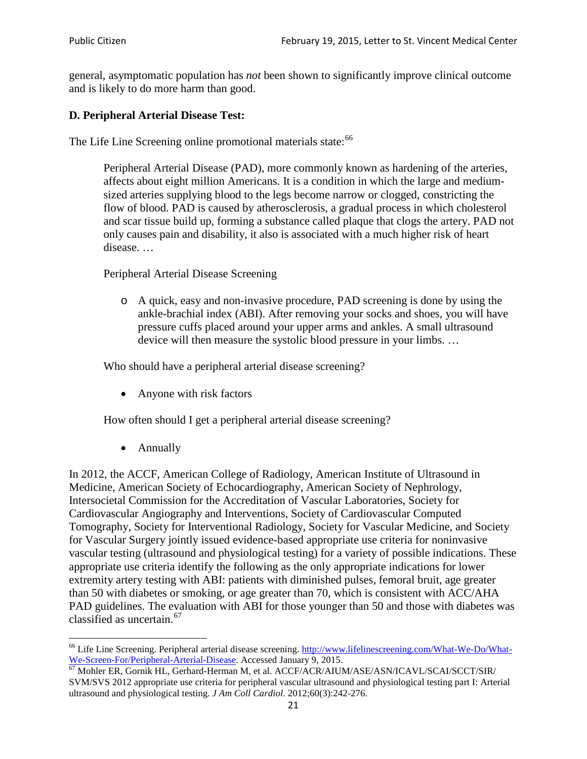general, asymptomatic population has *not* been shown to significantly improve clinical outcome and is likely to do more harm than good.

## **D. Peripheral Arterial Disease Test:**

The Life Line Screening online promotional materials state:<sup>[66](#page-20-0)</sup>

Peripheral Arterial Disease (PAD), more commonly known as hardening of the arteries, affects about eight million Americans. It is a condition in which the large and mediumsized arteries supplying blood to the legs become narrow or clogged, constricting the flow of blood. PAD is caused by atherosclerosis, a gradual process in which cholesterol and scar tissue build up, forming a substance called plaque that clogs the artery. PAD not only causes pain and disability, it also is associated with a much higher risk of heart disease. …

Peripheral Arterial Disease Screening

o A quick, easy and non-invasive procedure, PAD screening is done by using the ankle-brachial index (ABI). After removing your socks and shoes, you will have pressure cuffs placed around your upper arms and ankles. A small ultrasound device will then measure the systolic blood pressure in your limbs. …

Who should have a peripheral arterial disease screening?

• Anyone with risk factors

How often should I get a peripheral arterial disease screening?

• Annually

In 2012, the ACCF, American College of Radiology, American Institute of Ultrasound in Medicine, American Society of Echocardiography, American Society of Nephrology, Intersocietal Commission for the Accreditation of Vascular Laboratories, Society for Cardiovascular Angiography and Interventions, Society of Cardiovascular Computed Tomography, Society for Interventional Radiology, Society for Vascular Medicine, and Society for Vascular Surgery jointly issued evidence-based appropriate use criteria for noninvasive vascular testing (ultrasound and physiological testing) for a variety of possible indications. These appropriate use criteria identify the following as the only appropriate indications for lower extremity artery testing with ABI: patients with diminished pulses, femoral bruit, age greater than 50 with diabetes or smoking, or age greater than 70, which is consistent with ACC/AHA PAD guidelines. The evaluation with ABI for those younger than 50 and those with diabetes was classified as uncertain.<sup>[67](#page-20-1)</sup>

<span id="page-20-0"></span><sup>&</sup>lt;sup>66</sup> Life Line Screening. Peripheral arterial disease screening. [http://www.lifelinescreening.com/What-We-Do/What-](http://www.lifelinescreening.com/What-We-Do/What-We-Screen-For/Peripheral-Arterial-Disease)[We-Screen-For/Peripheral-Arterial-Disease.](http://www.lifelinescreening.com/What-We-Do/What-We-Screen-For/Peripheral-Arterial-Disease) Accessed January 9, 2015.<br><sup>67</sup> Mohler ER, Gornik HL, Gerhard-Herman M, et al. ACCF/ACR/AIUM/ASE/ASN/ICAVL/SCAI/SCCT/SIR/

<span id="page-20-1"></span>SVM/SVS 2012 appropriate use criteria for peripheral vascular ultrasound and physiological testing part I: Arterial ultrasound and physiological testing. *J Am Coll Cardiol*. 2012;60(3):242-276.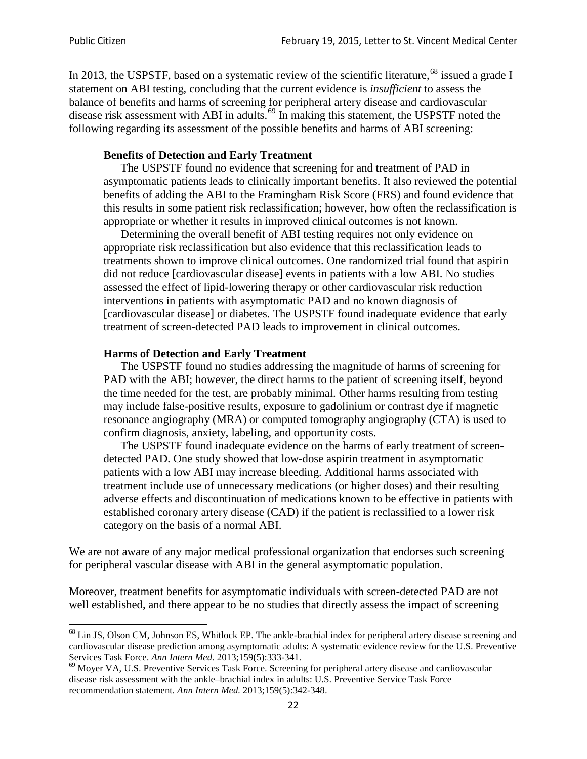In 2013, the USPSTF, based on a systematic review of the scientific literature,<sup>[68](#page-21-0)</sup> issued a grade I statement on ABI testing, concluding that the current evidence is *insufficient* to assess the balance of benefits and harms of screening for peripheral artery disease and cardiovascular disease risk assessment with ABI in adults.<sup>[69](#page-21-1)</sup> In making this statement, the USPSTF noted the following regarding its assessment of the possible benefits and harms of ABI screening:

### **Benefits of Detection and Early Treatment**

The USPSTF found no evidence that screening for and treatment of PAD in asymptomatic patients leads to clinically important benefits. It also reviewed the potential benefits of adding the ABI to the Framingham Risk Score (FRS) and found evidence that this results in some patient risk reclassification; however, how often the reclassification is appropriate or whether it results in improved clinical outcomes is not known.

Determining the overall benefit of ABI testing requires not only evidence on appropriate risk reclassification but also evidence that this reclassification leads to treatments shown to improve clinical outcomes. One randomized trial found that aspirin did not reduce [cardiovascular disease] events in patients with a low ABI. No studies assessed the effect of lipid-lowering therapy or other cardiovascular risk reduction interventions in patients with asymptomatic PAD and no known diagnosis of [cardiovascular disease] or diabetes. The USPSTF found inadequate evidence that early treatment of screen-detected PAD leads to improvement in clinical outcomes.

### **Harms of Detection and Early Treatment**

The USPSTF found no studies addressing the magnitude of harms of screening for PAD with the ABI; however, the direct harms to the patient of screening itself, beyond the time needed for the test, are probably minimal. Other harms resulting from testing may include false-positive results, exposure to gadolinium or contrast dye if magnetic resonance angiography (MRA) or computed tomography angiography (CTA) is used to confirm diagnosis, anxiety, labeling, and opportunity costs.

The USPSTF found inadequate evidence on the harms of early treatment of screendetected PAD. One study showed that low-dose aspirin treatment in asymptomatic patients with a low ABI may increase bleeding. Additional harms associated with treatment include use of unnecessary medications (or higher doses) and their resulting adverse effects and discontinuation of medications known to be effective in patients with established coronary artery disease (CAD) if the patient is reclassified to a lower risk category on the basis of a normal ABI.

We are not aware of any major medical professional organization that endorses such screening for peripheral vascular disease with ABI in the general asymptomatic population.

Moreover, treatment benefits for asymptomatic individuals with screen-detected PAD are not well established, and there appear to be no studies that directly assess the impact of screening

<span id="page-21-0"></span><sup>&</sup>lt;sup>68</sup> Lin JS, Olson CM, Johnson ES, Whitlock EP. The ankle-brachial index for peripheral artery disease screening and cardiovascular disease prediction among asymptomatic adults: A systematic evidence review for the U.S. Preventive Services Task Force. *Ann Intern Med.* 2013;159(5):333-341.<br><sup>69</sup> Moyer VA, U.S. Preventive Services Task Force. Screening for peripheral artery disease and cardiovascular

<span id="page-21-1"></span>disease risk assessment with the ankle–brachial index in adults: U.S. Preventive Service Task Force recommendation statement. *Ann Intern Med.* 2013;159(5):342-348.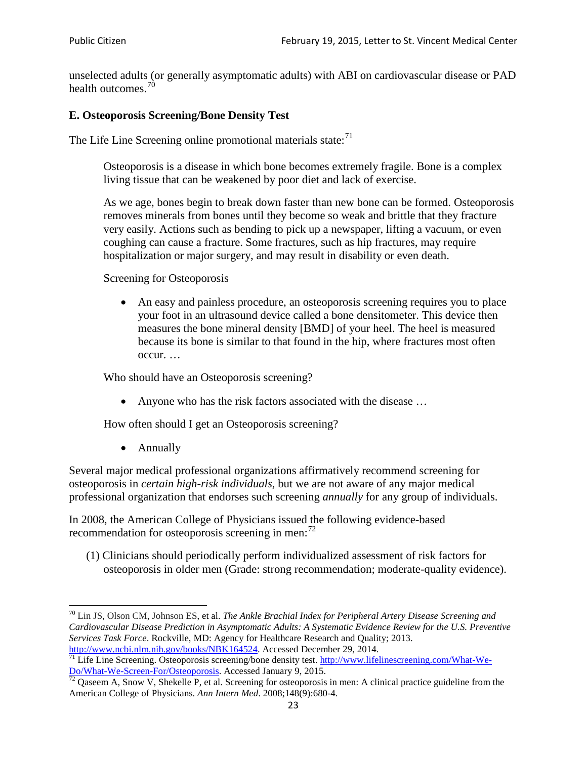unselected adults (or generally asymptomatic adults) with ABI on cardiovascular disease or PAD health outcomes.<sup>[70](#page-22-0)</sup>

## **E. Osteoporosis Screening/Bone Density Test**

The Life Line Screening online promotional materials state: $71$ 

Osteoporosis is a disease in which bone becomes extremely fragile. Bone is a complex living tissue that can be weakened by poor diet and lack of exercise.

As we age, bones begin to break down faster than new bone can be formed. Osteoporosis removes minerals from bones until they become so weak and brittle that they fracture very easily. Actions such as bending to pick up a newspaper, lifting a vacuum, or even coughing can cause a fracture. Some fractures, such as hip fractures, may require hospitalization or major surgery, and may result in disability or even death.

Screening for Osteoporosis

• An easy and painless procedure, an osteoporosis screening requires you to place your foot in an ultrasound device called a bone densitometer. This device then measures the bone mineral density [BMD] of your heel. The heel is measured because its bone is similar to that found in the hip, where fractures most often occur. …

Who should have an Osteoporosis screening?

• Anyone who has the risk factors associated with the disease ...

How often should I get an Osteoporosis screening?

• Annually

Several major medical professional organizations affirmatively recommend screening for osteoporosis in *certain high-risk individuals*, but we are not aware of any major medical professional organization that endorses such screening *annually* for any group of individuals.

In 2008, the American College of Physicians issued the following evidence-based recommendation for osteoporosis screening in men: $^{72}$  $^{72}$  $^{72}$ 

(1) Clinicians should periodically perform individualized assessment of risk factors for osteoporosis in older men (Grade: strong recommendation; moderate-quality evidence).

<span id="page-22-0"></span><sup>70</sup> [Lin JS,](http://www.ncbi.nlm.nih.gov/pubmed?term=Lin%20JS%5BAuthor%5D&cauthor=true&cauthor_uid=24156115) [Olson CM,](http://www.ncbi.nlm.nih.gov/pubmed?term=Olson%20CM%5BAuthor%5D&cauthor=true&cauthor_uid=24156115) [Johnson ES,](http://www.ncbi.nlm.nih.gov/pubmed?term=Johnson%20ES%5BAuthor%5D&cauthor=true&cauthor_uid=24156115) et al. *The Ankle Brachial Index for Peripheral Artery Disease Screening and Cardiovascular Disease Prediction in Asymptomatic Adults: A Systematic Evidence Review for the U.S. Preventive Services Task Force*. Rockville, MD: Agency for Healthcare Research and Quality; 2013.<br>http://www.ncbi.nlm.nih.gov/books/NBK164524. Accessed December 29, 2014.

<span id="page-22-1"></span> $\frac{1}{71}$  Life Line Screening. Osteoporosis screening/bone density test. [http://www.lifelinescreening.com/What-We-](http://www.lifelinescreening.com/What-We-Do/What-We-Screen-For/Osteoporosis)[Do/What-We-Screen-For/Osteoporosis.](http://www.lifelinescreening.com/What-We-Do/What-We-Screen-For/Osteoporosis) Accessed January 9, 2015. <sup>72</sup> Qaseem A, Snow V, Shekelle P, et al. Screening for osteoporosis in men: A clinical practice guideline from the

<span id="page-22-2"></span>American College of Physicians. *Ann Intern Med*. 2008;148(9):680-4.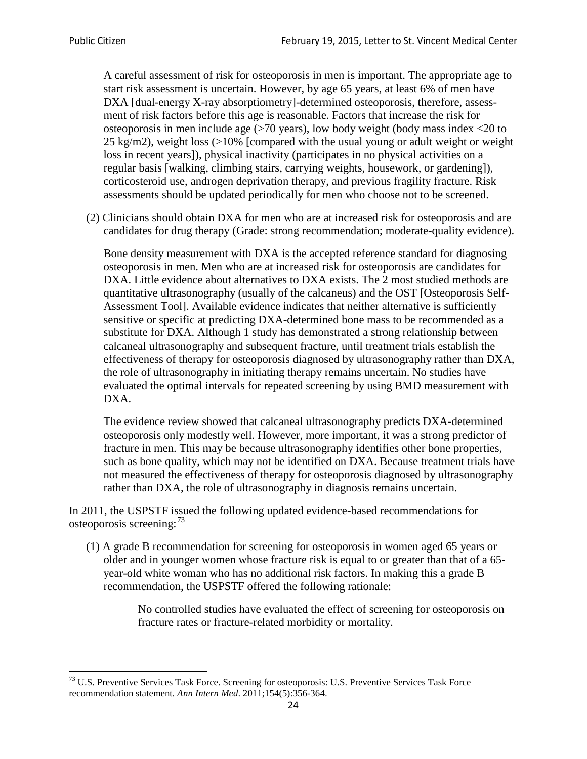A careful assessment of risk for osteoporosis in men is important. The appropriate age to start risk assessment is uncertain. However, by age 65 years, at least 6% of men have DXA [dual-energy X-ray absorptiometry]-determined osteoporosis, therefore, assessment of risk factors before this age is reasonable. Factors that increase the risk for osteoporosis in men include age (>70 years), low body weight (body mass index <20 to 25 kg/m2), weight loss  $\langle$  >10% [compared with the usual young or adult weight or weight loss in recent years]), physical inactivity (participates in no physical activities on a regular basis [walking, climbing stairs, carrying weights, housework, or gardening]), corticosteroid use, androgen deprivation therapy, and previous fragility fracture. Risk assessments should be updated periodically for men who choose not to be screened.

(2) Clinicians should obtain DXA for men who are at increased risk for osteoporosis and are candidates for drug therapy (Grade: strong recommendation; moderate-quality evidence).

Bone density measurement with DXA is the accepted reference standard for diagnosing osteoporosis in men. Men who are at increased risk for osteoporosis are candidates for DXA. Little evidence about alternatives to DXA exists. The 2 most studied methods are quantitative ultrasonography (usually of the calcaneus) and the OST [Osteoporosis Self-Assessment Tool]. Available evidence indicates that neither alternative is sufficiently sensitive or specific at predicting DXA-determined bone mass to be recommended as a substitute for DXA. Although 1 study has demonstrated a strong relationship between calcaneal ultrasonography and subsequent fracture, until treatment trials establish the effectiveness of therapy for osteoporosis diagnosed by ultrasonography rather than DXA, the role of ultrasonography in initiating therapy remains uncertain. No studies have evaluated the optimal intervals for repeated screening by using BMD measurement with DXA.

The evidence review showed that calcaneal ultrasonography predicts DXA-determined osteoporosis only modestly well. However, more important, it was a strong predictor of fracture in men. This may be because ultrasonography identifies other bone properties, such as bone quality, which may not be identified on DXA. Because treatment trials have not measured the effectiveness of therapy for osteoporosis diagnosed by ultrasonography rather than DXA, the role of ultrasonography in diagnosis remains uncertain.

In 2011, the USPSTF issued the following updated evidence-based recommendations for osteoporosis screening:<sup>[73](#page-23-0)</sup>

(1) A grade B recommendation for screening for osteoporosis in women aged 65 years or older and in younger women whose fracture risk is equal to or greater than that of a 65 year-old white woman who has no additional risk factors. In making this a grade B recommendation, the USPSTF offered the following rationale:

> No controlled studies have evaluated the effect of screening for osteoporosis on fracture rates or fracture-related morbidity or mortality.

<span id="page-23-0"></span><sup>&</sup>lt;sup>73</sup> U.S. Preventive Services Task Force. Screening for osteoporosis: U.S. Preventive Services Task Force recommendation statement. *Ann Intern Med*. 2011;154(5):356-364.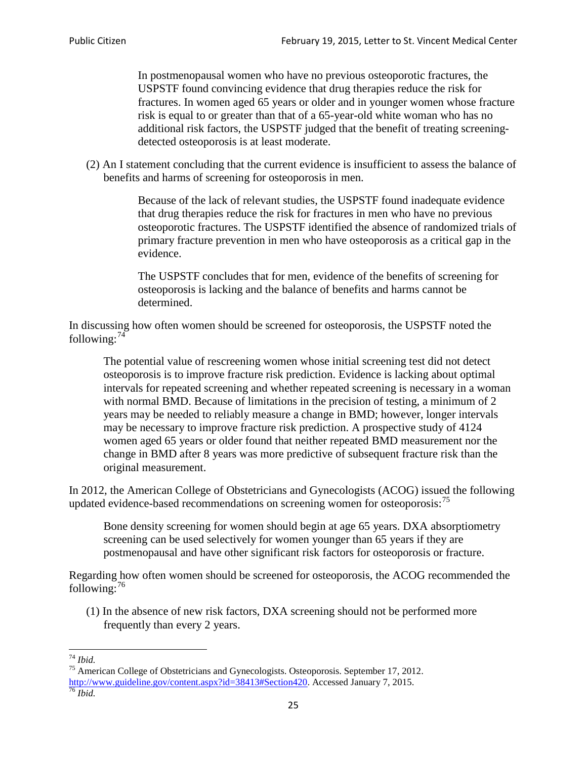In postmenopausal women who have no previous osteoporotic fractures, the USPSTF found convincing evidence that drug therapies reduce the risk for fractures. In women aged 65 years or older and in younger women whose fracture risk is equal to or greater than that of a 65-year-old white woman who has no additional risk factors, the USPSTF judged that the benefit of treating screeningdetected osteoporosis is at least moderate.

(2) An I statement concluding that the current evidence is insufficient to assess the balance of benefits and harms of screening for osteoporosis in men.

> Because of the lack of relevant studies, the USPSTF found inadequate evidence that drug therapies reduce the risk for fractures in men who have no previous osteoporotic fractures. The USPSTF identified the absence of randomized trials of primary fracture prevention in men who have osteoporosis as a critical gap in the evidence.

The USPSTF concludes that for men, evidence of the benefits of screening for osteoporosis is lacking and the balance of benefits and harms cannot be determined.

In discussing how often women should be screened for osteoporosis, the USPSTF noted the following: $74$ 

The potential value of rescreening women whose initial screening test did not detect osteoporosis is to improve fracture risk prediction. Evidence is lacking about optimal intervals for repeated screening and whether repeated screening is necessary in a woman with normal BMD. Because of limitations in the precision of testing, a minimum of 2 years may be needed to reliably measure a change in BMD; however, longer intervals may be necessary to improve fracture risk prediction. A prospective study of 4124 women aged 65 years or older found that neither repeated BMD measurement nor the change in BMD after 8 years was more predictive of subsequent fracture risk than the original measurement.

In 2012, the American College of Obstetricians and Gynecologists (ACOG) issued the following updated evidence-based recommendations on screening women for osteoporosis:<sup>[75](#page-24-1)</sup>

Bone density screening for women should begin at age 65 years. DXA absorptiometry screening can be used selectively for women younger than 65 years if they are postmenopausal and have other significant risk factors for osteoporosis or fracture.

Regarding how often women should be screened for osteoporosis, the ACOG recommended the following: $^{76}$  $^{76}$  $^{76}$ 

(1) In the absence of new risk factors, DXA screening should not be performed more frequently than every 2 years.

<span id="page-24-2"></span><span id="page-24-1"></span><span id="page-24-0"></span><sup>74</sup> *Ibid.* <sup>75</sup> American College of Obstetricians and Gynecologists. Osteoporosis. September 17, 2012. [http://www.guideline.gov/content.aspx?id=38413#Section420.](http://www.guideline.gov/content.aspx?id=38413#Section420) Accessed January 7, 2015.<br><sup>76</sup> *Ibid.*